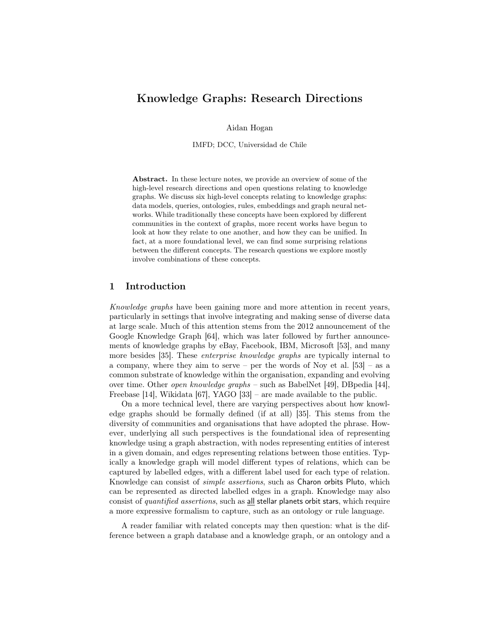# Knowledge Graphs: Research Directions

Aidan Hogan

IMFD; DCC, Universidad de Chile

Abstract. In these lecture notes, we provide an overview of some of the high-level research directions and open questions relating to knowledge graphs. We discuss six high-level concepts relating to knowledge graphs: data models, queries, ontologies, rules, embeddings and graph neural networks. While traditionally these concepts have been explored by different communities in the context of graphs, more recent works have begun to look at how they relate to one another, and how they can be unified. In fact, at a more foundational level, we can find some surprising relations between the different concepts. The research questions we explore mostly involve combinations of these concepts.

## 1 Introduction

Knowledge graphs have been gaining more and more attention in recent years, particularly in settings that involve integrating and making sense of diverse data at large scale. Much of this attention stems from the 2012 announcement of the Google Knowledge Graph [\[64\]](#page-30-0), which was later followed by further announcements of knowledge graphs by eBay, Facebook, IBM, Microsoft [\[53\]](#page-29-0), and many more besides [\[35\]](#page-28-0). These *enterprise knowledge graphs* are typically internal to a company, where they aim to serve – per the words of Noy et al. [\[53\]](#page-29-0) – as a common substrate of knowledge within the organisation, expanding and evolving over time. Other open knowledge graphs – such as BabelNet [\[49\]](#page-29-1), DBpedia [\[44\]](#page-28-1), Freebase [\[14\]](#page-26-0), Wikidata [\[67\]](#page-30-1), YAGO [\[33\]](#page-27-0) – are made available to the public.

On a more technical level, there are varying perspectives about how knowledge graphs should be formally defined (if at all) [\[35\]](#page-28-0). This stems from the diversity of communities and organisations that have adopted the phrase. However, underlying all such perspectives is the foundational idea of representing knowledge using a graph abstraction, with nodes representing entities of interest in a given domain, and edges representing relations between those entities. Typically a knowledge graph will model different types of relations, which can be captured by labelled edges, with a different label used for each type of relation. Knowledge can consist of simple assertions, such as Charon orbits Pluto, which can be represented as directed labelled edges in a graph. Knowledge may also consist of quantified assertions, such as all stellar planets orbit stars, which require a more expressive formalism to capture, such as an ontology or rule language.

A reader familiar with related concepts may then question: what is the difference between a graph database and a knowledge graph, or an ontology and a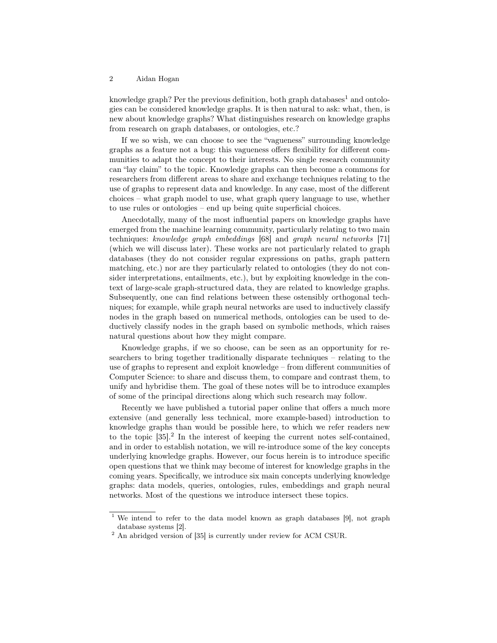knowledge graph? Per the previous definition, both graph databases<sup>[1](#page-1-0)</sup> and ontologies can be considered knowledge graphs. It is then natural to ask: what, then, is new about knowledge graphs? What distinguishes research on knowledge graphs from research on graph databases, or ontologies, etc.?

If we so wish, we can choose to see the "vagueness" surrounding knowledge graphs as a feature not a bug: this vagueness offers flexibility for different communities to adapt the concept to their interests. No single research community can "lay claim" to the topic. Knowledge graphs can then become a commons for researchers from different areas to share and exchange techniques relating to the use of graphs to represent data and knowledge. In any case, most of the different choices – what graph model to use, what graph query language to use, whether to use rules or ontologies – end up being quite superficial choices.

Anecdotally, many of the most influential papers on knowledge graphs have emerged from the machine learning community, particularly relating to two main techniques: knowledge graph embeddings [\[68\]](#page-30-2) and graph neural networks [\[71\]](#page-31-0) (which we will discuss later). These works are not particularly related to graph databases (they do not consider regular expressions on paths, graph pattern matching, etc.) nor are they particularly related to ontologies (they do not consider interpretations, entailments, etc.), but by exploiting knowledge in the context of large-scale graph-structured data, they are related to knowledge graphs. Subsequently, one can find relations between these ostensibly orthogonal techniques; for example, while graph neural networks are used to inductively classify nodes in the graph based on numerical methods, ontologies can be used to deductively classify nodes in the graph based on symbolic methods, which raises natural questions about how they might compare.

Knowledge graphs, if we so choose, can be seen as an opportunity for researchers to bring together traditionally disparate techniques – relating to the use of graphs to represent and exploit knowledge – from different communities of Computer Science: to share and discuss them, to compare and contrast them, to unify and hybridise them. The goal of these notes will be to introduce examples of some of the principal directions along which such research may follow.

Recently we have published a tutorial paper online that offers a much more extensive (and generally less technical, more example-based) introduction to knowledge graphs than would be possible here, to which we refer readers new to the topic  $[35]$ <sup>[2](#page-1-1)</sup>. In the interest of keeping the current notes self-contained, and in order to establish notation, we will re-introduce some of the key concepts underlying knowledge graphs. However, our focus herein is to introduce specific open questions that we think may become of interest for knowledge graphs in the coming years. Specifically, we introduce six main concepts underlying knowledge graphs: data models, queries, ontologies, rules, embeddings and graph neural networks. Most of the questions we introduce intersect these topics.

<span id="page-1-0"></span><sup>&</sup>lt;sup>1</sup> We intend to refer to the data model known as graph databases [\[9\]](#page-26-1), not graph database systems [\[2\]](#page-25-0).

<span id="page-1-1"></span> $^2$  An abridged version of [\[35\]](#page-28-0) is currently under review for ACM CSUR.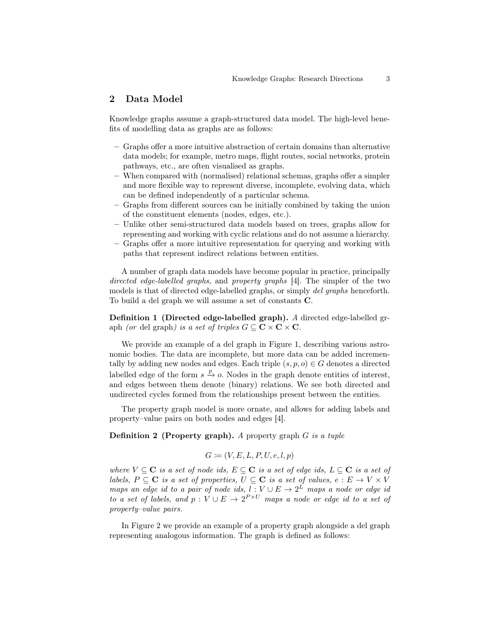# 2 Data Model

Knowledge graphs assume a graph-structured data model. The high-level benefits of modelling data as graphs are as follows:

- Graphs offer a more intuitive abstraction of certain domains than alternative data models; for example, metro maps, flight routes, social networks, protein pathways, etc., are often visualised as graphs.
- When compared with (normalised) relational schemas, graphs offer a simpler and more flexible way to represent diverse, incomplete, evolving data, which can be defined independently of a particular schema.
- Graphs from different sources can be initially combined by taking the union of the constituent elements (nodes, edges, etc.).
- Unlike other semi-structured data models based on trees, graphs allow for representing and working with cyclic relations and do not assume a hierarchy.
- Graphs offer a more intuitive representation for querying and working with paths that represent indirect relations between entities.

A number of graph data models have become popular in practice, principally directed edge-labelled graphs, and property graphs [\[4\]](#page-25-1). The simpler of the two models is that of directed edge-labelled graphs, or simply del graphs henceforth. To build a del graph we will assume a set of constants C.

<span id="page-2-0"></span>Definition 1 (Directed edge-labelled graph). A directed edge-labelled graph (or del graph) is a set of triples  $G \subseteq \mathbf{C} \times \mathbf{C} \times \mathbf{C}$ .

We provide an example of a del graph in Figure [1,](#page-3-0) describing various astronomic bodies. The data are incomplete, but more data can be added incrementally by adding new nodes and edges. Each triple  $(s, p, o) \in G$  denotes a directed labelled edge of the form  $s \stackrel{p}{\to} o$ . Nodes in the graph denote entities of interest, and edges between them denote (binary) relations. We see both directed and undirected cycles formed from the relationships present between the entities.

The property graph model is more ornate, and allows for adding labels and property–value pairs on both nodes and edges [\[4\]](#page-25-1).

**Definition 2 (Property graph).** A property graph  $G$  is a tuple

$$
G \coloneqq (V, E, L, P, U, e, l, p)
$$

where  $V \subseteq \mathbf{C}$  is a set of node ids,  $E \subseteq \mathbf{C}$  is a set of edge ids,  $L \subseteq \mathbf{C}$  is a set of labels,  $P \subseteq \mathbf{C}$  is a set of properties,  $U \subseteq \mathbf{C}$  is a set of values,  $e : E \to V \times V$ maps an edge id to a pair of node ids,  $l: V \cup E \rightarrow 2^L$  maps a node or edge id to a set of labels, and  $p: V \cup E \rightarrow 2^{P \times U}$  maps a node or edge id to a set of property–value pairs.

In Figure [2](#page-4-0) we provide an example of a property graph alongside a del graph representing analogous information. The graph is defined as follows: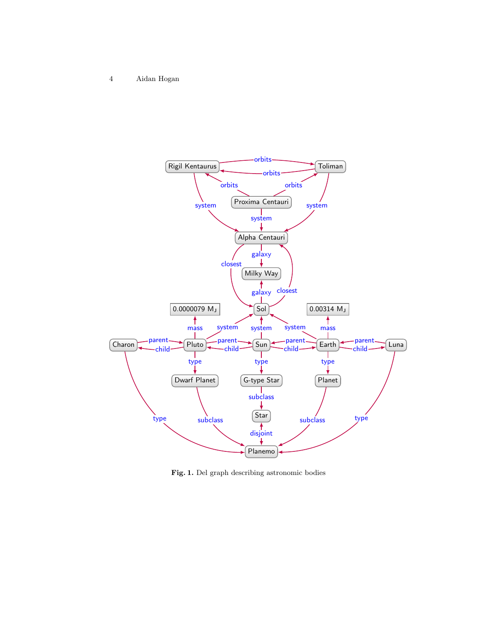

<span id="page-3-0"></span>Fig. 1. Del graph describing astronomic bodies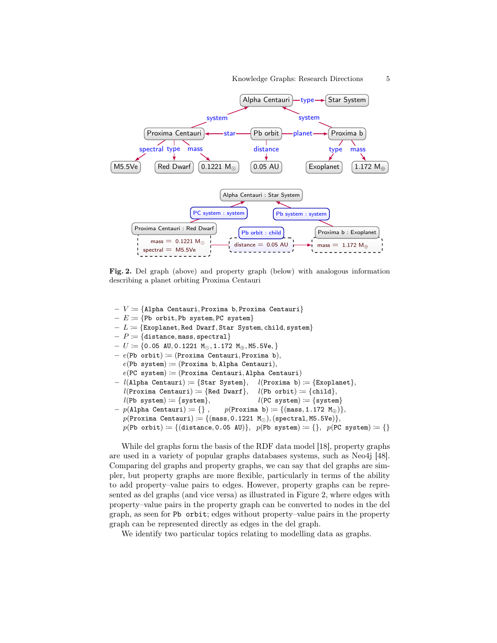

<span id="page-4-0"></span>Fig. 2. Del graph (above) and property graph (below) with analogous information describing a planet orbiting Proxima Centauri

- $-V := \{ \text{Alpha Centauri}, \text{Proxima } b, \text{Proxima Centauri} \}$
- $-E \coloneqq \{Pb \text{ orbit}, Pb \text{ system}, PC \text{ system}\}$
- $-L \coloneqq \{ \text{Exoplanet}, \text{Red} \text{ Dwarf}, \text{Star System}, \text{child}, \text{system} \}$
- $-P := \{distance, mass, spectral\}$
- $U \coloneqq \{0.05 \text{ AU}, 0.1221 \text{ M}_{\odot}, 1.172 \text{ M}_{\oplus}, \text{MS.5Ve}, \}$
- $-e(Pb \text{ orbit}) \coloneqq (Proxima \text{ Centauri}, Proxima \text{ b}),$ 
	- $e(Pb$  system) := (Proxima b, Alpha Centauri),
	- $e(PC$  system) := (Proxima Centauri, Alpha Centauri)
- $l(A1pha$  Centauri) := {Star System},  $l(Proxima b) :=$  {Exoplanet},  $l($ Proxima Centauri) := {Red Dwarf},  $l(Pb \text{ orbit})$  := {child},
- $l(Pb \text{ system}) := \{\text{system}\},$ <br>  $l(PC \text{ system}) := \{\text{system}\}$ <br>  $p(A1 \text{pha Centauri}) := \{\}, \qquad p(Proxima b) := \{(\text{mass}, 1.172 \text{ M}_{\oplus})\}$  $p(\text{Proxima b}) \coloneqq \{(\text{mass}, 1.172 \text{ M}_{\oplus})\},$  $p(\text{Proxima Centauri}) \coloneqq \{(\text{mass}, 0.1221 M_{\odot}), (\text{spectral}, \text{MS.5Ve})\},$  $p(\mathtt{Pb\ orbit}) := \{(\mathtt{distance}, \mathtt{0.05\ AU})\}, \;\; p(\mathtt{Pb\ system}) := \{\}, \;\; p(\mathtt{PC\ system}) := \{\}$

While del graphs form the basis of the RDF data model [\[18\]](#page-26-2), property graphs are used in a variety of popular graphs databases systems, such as Neo4j [\[48\]](#page-29-2). Comparing del graphs and property graphs, we can say that del graphs are simpler, but property graphs are more flexible, particularly in terms of the ability to add property–value pairs to edges. However, property graphs can be represented as del graphs (and vice versa) as illustrated in Figure [2,](#page-4-0) where edges with property–value pairs in the property graph can be converted to nodes in the del graph, as seen for Pb orbit; edges without property–value pairs in the property graph can be represented directly as edges in the del graph.

We identify two particular topics relating to modelling data as graphs.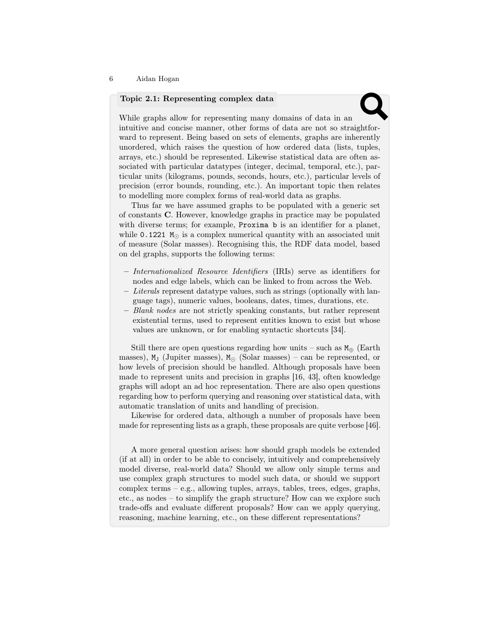### Topic 2.1: Representing complex data



While graphs allow for representing many domains of data in an intuitive and concise manner, other forms of data are not so straightforward to represent. Being based on sets of elements, graphs are inherently unordered, which raises the question of how ordered data (lists, tuples, arrays, etc.) should be represented. Likewise statistical data are often associated with particular datatypes (integer, decimal, temporal, etc.), particular units (kilograms, pounds, seconds, hours, etc.), particular levels of precision (error bounds, rounding, etc.). An important topic then relates to modelling more complex forms of real-world data as graphs.

Thus far we have assumed graphs to be populated with a generic set of constants C. However, knowledge graphs in practice may be populated with diverse terms; for example, Proxima b is an identifier for a planet, while 0.1221  $M_{\odot}$  is a complex numerical quantity with an associated unit of measure (Solar masses). Recognising this, the RDF data model, based on del graphs, supports the following terms:

- Internationalized Resource Identifiers (IRIs) serve as identifiers for nodes and edge labels, which can be linked to from across the Web.
- Literals represent datatype values, such as strings (optionally with language tags), numeric values, booleans, dates, times, durations, etc.
- Blank nodes are not strictly speaking constants, but rather represent existential terms, used to represent entities known to exist but whose values are unknown, or for enabling syntactic shortcuts [\[34\]](#page-28-2).

Still there are open questions regarding how units – such as  $M_{\oplus}$  (Earth masses),  $M_J$  (Jupiter masses),  $M_{\odot}$  (Solar masses) – can be represented, or how levels of precision should be handled. Although proposals have been made to represent units and precision in graphs [\[16,](#page-26-3) [43\]](#page-28-3), often knowledge graphs will adopt an ad hoc representation. There are also open questions regarding how to perform querying and reasoning over statistical data, with automatic translation of units and handling of precision.

Likewise for ordered data, although a number of proposals have been made for representing lists as a graph, these proposals are quite verbose [\[46\]](#page-29-3).

A more general question arises: how should graph models be extended (if at all) in order to be able to concisely, intuitively and comprehensively model diverse, real-world data? Should we allow only simple terms and use complex graph structures to model such data, or should we support complex terms – e.g., allowing tuples, arrays, tables, trees, edges, graphs, etc., as nodes – to simplify the graph structure? How can we explore such trade-offs and evaluate different proposals? How can we apply querying, reasoning, machine learning, etc., on these different representations?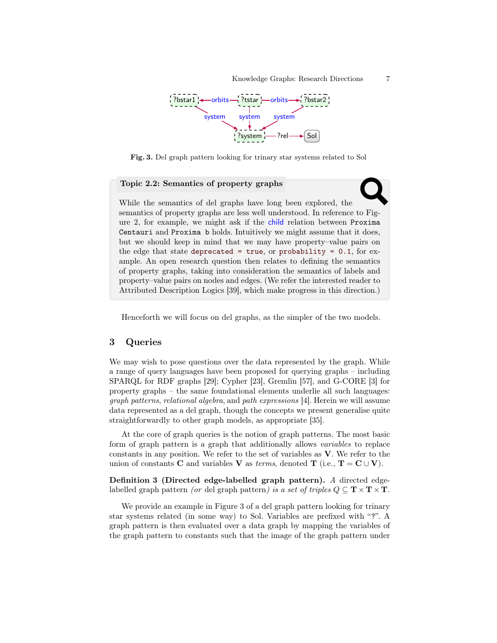

<span id="page-6-0"></span>Fig. 3. Del graph pattern looking for trinary star systems related to Sol

#### Topic 2.2: Semantics of property graphs

While the semantics of del graphs have long been explored, the semantics of property graphs are less well understood. In reference to Figure [2,](#page-4-0) for example, we might ask if the child relation between Proxima Centauri and Proxima b holds. Intuitively we might assume that it does, but we should keep in mind that we may have property–value pairs on the edge that state deprecated = true, or probability =  $0.1$ , for example. An open research question then relates to defining the semantics of property graphs, taking into consideration the semantics of labels and property–value pairs on nodes and edges. (We refer the interested reader to Attributed Description Logics [\[39\]](#page-28-4), which make progress in this direction.)

Henceforth we will focus on del graphs, as the simpler of the two models.

#### 3 Queries

We may wish to pose questions over the data represented by the graph. While a range of query languages have been proposed for querying graphs – including SPARQL for RDF graphs [\[29\]](#page-27-1); Cypher [\[23\]](#page-27-2), Gremlin [\[57\]](#page-30-3), and G-CORE [\[3\]](#page-25-2) for property graphs – the same foundational elements underlie all such languages: graph patterns, relational algebra, and path expressions [\[4\]](#page-25-1). Herein we will assume data represented as a del graph, though the concepts we present generalise quite straightforwardly to other graph models, as appropriate [\[35\]](#page-28-0).

At the core of graph queries is the notion of graph patterns. The most basic form of graph pattern is a graph that additionally allows variables to replace constants in any position. We refer to the set of variables as  $V$ . We refer to the union of constants C and variables V as *terms*, denoted T (i.e.,  $T = C \cup V$ ).

Definition 3 (Directed edge-labelled graph pattern). A directed edgelabelled graph pattern (or del graph pattern) is a set of triples  $Q \subseteq T \times T \times T$ .

We provide an example in Figure [3](#page-6-0) of a del graph pattern looking for trinary star systems related (in some way) to Sol. Variables are prefixed with "?". A graph pattern is then evaluated over a data graph by mapping the variables of the graph pattern to constants such that the image of the graph pattern under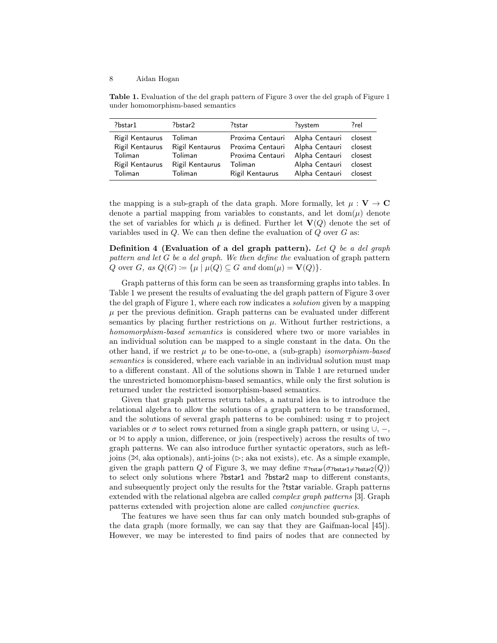<span id="page-7-0"></span>Table 1. Evaluation of the del graph pattern of Figure [3](#page-6-0) over the del graph of Figure [1](#page-2-0) under homomorphism-based semantics

| ?bstar1         | ?bstar2         | ?tstar           | ?system        | ?rel    |
|-----------------|-----------------|------------------|----------------|---------|
| Rigil Kentaurus | Toliman         | Proxima Centauri | Alpha Centauri | closest |
| Rigil Kentaurus | Rigil Kentaurus | Proxima Centauri | Alpha Centauri | closest |
| Toliman         | Toliman         | Proxima Centauri | Alpha Centauri | closest |
| Rigil Kentaurus | Rigil Kentaurus | Toliman          | Alpha Centauri | closest |
| Toliman         | Toliman         | Rigil Kentaurus  | Alpha Centauri | closest |

the mapping is a sub-graph of the data graph. More formally, let  $\mu : V \to \mathbb{C}$ denote a partial mapping from variables to constants, and let  $dom(\mu)$  denote the set of variables for which  $\mu$  is defined. Further let  $V(Q)$  denote the set of variables used in  $Q$ . We can then define the evaluation of  $Q$  over  $G$  as:

Definition 4 (Evaluation of a del graph pattern). Let  $Q$  be a del graph pattern and let G be a del graph. We then define the evaluation of graph pattern Q over G, as  $Q(G) \coloneqq {\mu | \mu(Q) \subseteq G}$  and  $dom(\mu) = V(Q)$ .

Graph patterns of this form can be seen as transforming graphs into tables. In Table [1](#page-7-0) we present the results of evaluating the del graph pattern of Figure [3](#page-6-0) over the del graph of Figure [1,](#page-2-0) where each row indicates a solution given by a mapping  $\mu$  per the previous definition. Graph patterns can be evaluated under different semantics by placing further restrictions on  $\mu$ . Without further restrictions, a homomorphism-based semantics is considered where two or more variables in an individual solution can be mapped to a single constant in the data. On the other hand, if we restrict  $\mu$  to be one-to-one, a (sub-graph) isomorphism-based semantics is considered, where each variable in an individual solution must map to a different constant. All of the solutions shown in Table [1](#page-7-0) are returned under the unrestricted homomorphism-based semantics, while only the first solution is returned under the restricted isomorphism-based semantics.

Given that graph patterns return tables, a natural idea is to introduce the relational algebra to allow the solutions of a graph pattern to be transformed, and the solutions of several graph patterns to be combined: using  $\pi$  to project variables or  $\sigma$  to select rows returned from a single graph pattern, or using  $\cup$ , –, or  $\bowtie$  to apply a union, difference, or join (respectively) across the results of two graph patterns. We can also introduce further syntactic operators, such as leftjoins ( $\mathbb{X}$ , aka optionals), anti-joins ( $\triangleright$ ; aka not exists), etc. As a simple example, given the graph pattern Q of Figure [3,](#page-6-0) we may define  $\pi$ ?tstar( $\sigma$ ?bstar1≠?bstar2(Q)) to select only solutions where ?bstar1 and ?bstar2 map to different constants, and subsequently project only the results for the ?tstar variable. Graph patterns extended with the relational algebra are called complex graph patterns [\[3\]](#page-25-2). Graph patterns extended with projection alone are called conjunctive queries.

The features we have seen thus far can only match bounded sub-graphs of the data graph (more formally, we can say that they are Gaifman-local [\[45\]](#page-29-4)). However, we may be interested to find pairs of nodes that are connected by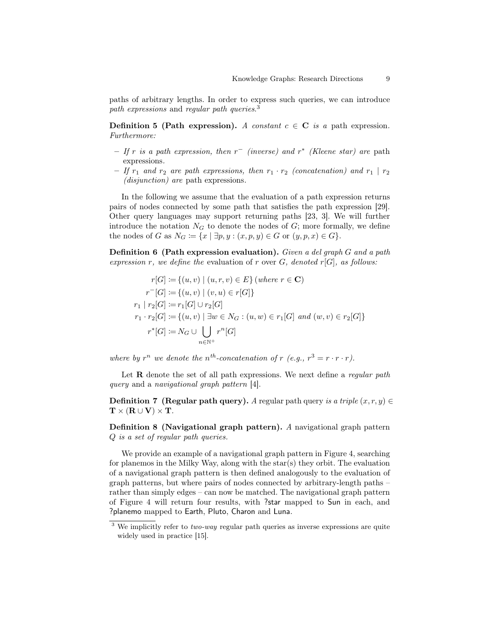paths of arbitrary lengths. In order to express such queries, we can introduce path expressions and regular path queries.<sup>[3](#page-8-0)</sup>

**Definition 5 (Path expression).** A constant  $c \in \mathbb{C}$  is a path expression. Furthermore:

- $-$  If r is a path expression, then  $r^-$  (inverse) and  $r^*$  (Kleene star) are path expressions.
- If  $r_1$  and  $r_2$  are path expressions, then  $r_1 \cdot r_2$  (concatenation) and  $r_1 \mid r_2$ (disjunction) are path expressions.

In the following we assume that the evaluation of a path expression returns pairs of nodes connected by some path that satisfies the path expression [\[29\]](#page-27-1). Other query languages may support returning paths [\[23,](#page-27-2) [3\]](#page-25-2). We will further introduce the notation  $N_G$  to denote the nodes of  $G$ ; more formally, we define the nodes of G as  $N_G := \{x \mid \exists p, y : (x, p, y) \in G \text{ or } (y, p, x) \in G\}.$ 

Definition 6 (Path expression evaluation). Given a del graph G and a path expression r, we define the evaluation of r over  $G$ , denoted  $r[G]$ , as follows:

$$
r[G] := \{(u, v) \mid (u, r, v) \in E\} \ (where \ r \in \mathbf{C})
$$
  
\n
$$
r^{-}[G] := \{(u, v) \mid (v, u) \in r[G]\}
$$
  
\n
$$
r_1 \mid r_2[G] := r_1[G] \cup r_2[G]
$$
  
\n
$$
r_1 \cdot r_2[G] := \{(u, v) \mid \exists w \in N_G : (u, w) \in r_1[G] \ and \ (w, v) \in r_2[G]\}
$$
  
\n
$$
r^*[G] := N_G \cup \bigcup_{n \in \mathbb{N}^+} r^n[G]
$$

where by  $r^n$  we denote the  $n^{th}$ -concatenation of  $r$  (e.g.,  $r^3 = r \cdot r \cdot r$ ).

Let  **denote the set of all path expressions. We next define a regular path** query and a navigational graph pattern [\[4\]](#page-25-1).

**Definition 7** (Regular path query). A regular path query is a triple  $(x, r, y) \in$  $\mathbf{T} \times (\mathbf{R} \cup \mathbf{V}) \times \mathbf{T}.$ 

Definition 8 (Navigational graph pattern). A navigational graph pattern Q is a set of regular path queries.

We provide an example of a navigational graph pattern in Figure [4,](#page-9-0) searching for planemos in the Milky Way, along with the star(s) they orbit. The evaluation of a navigational graph pattern is then defined analogously to the evaluation of graph patterns, but where pairs of nodes connected by arbitrary-length paths – rather than simply edges – can now be matched. The navigational graph pattern of Figure [4](#page-9-0) will return four results, with ?star mapped to Sun in each, and ?planemo mapped to Earth, Pluto, Charon and Luna.

<span id="page-8-0"></span> $3$  We implicitly refer to *two-way* regular path queries as inverse expressions are quite widely used in practice [\[15\]](#page-26-4).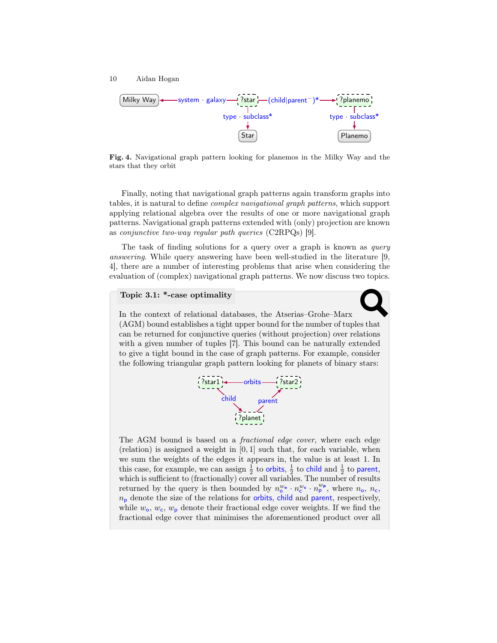

<span id="page-9-0"></span>Fig. 4. Navigational graph pattern looking for planemos in the Milky Way and the stars that they orbit

Finally, noting that navigational graph patterns again transform graphs into tables, it is natural to define complex navigational graph patterns, which support applying relational algebra over the results of one or more navigational graph patterns. Navigational graph patterns extended with (only) projection are known as conjunctive two-way regular path queries (C2RPQs) [\[9\]](#page-26-1).

The task of finding solutions for a query over a graph is known as *query* answering. While query answering have been well-studied in the literature [\[9,](#page-26-1) [4\]](#page-25-1), there are a number of interesting problems that arise when considering the evaluation of (complex) navigational graph patterns. We now discuss two topics.

## Topic 3.1: \*-case optimality



In the context of relational databases, the Atserias–Grohe–Marx (AGM) bound establishes a tight upper bound for the number of tuples that can be returned for conjunctive queries (without projection) over relations with a given number of tuples [\[7\]](#page-25-3). This bound can be naturally extended to give a tight bound in the case of graph patterns. For example, consider the following triangular graph pattern looking for planets of binary stars:



The AGM bound is based on a *fractional edge cover*, where each edge  $(relation)$  is assigned a weight in  $[0, 1]$  such that, for each variable, when we sum the weights of the edges it appears in, the value is at least 1. In this case, for example, we can assign  $\frac{1}{2}$  to orbits,  $\frac{1}{2}$  to child and  $\frac{1}{2}$  to parent, which is sufficient to (fractionally) cover all variables. The number of results returned by the query is then bounded by  $n_0^{w_0} \cdot n_0^{w_0} \cdot n_p^{w_p}$ , where  $n_0$ ,  $n_c$ ,  $n<sub>p</sub>$  denote the size of the relations for orbits, child and parent, respectively, while  $w_0$ ,  $w_c$ ,  $w_p$  denote their fractional edge cover weights. If we find the fractional edge cover that minimises the aforementioned product over all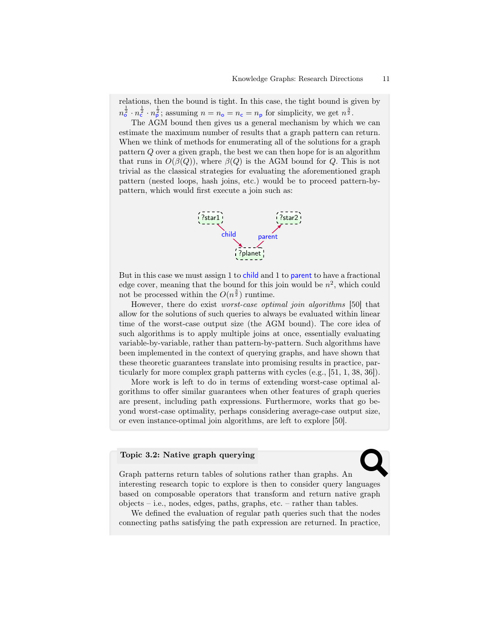relations, then the bound is tight. In this case, the tight bound is given by  $n_{\circ}^{\frac{1}{2}} \cdot n_{\circ}^{\frac{1}{2}} \cdot n_{\circ}^{\frac{1}{2}}$ ; assuming  $n = n_{\circ} = n_{\circ} = n_{p}$  for simplicity, we get  $n^{\frac{3}{2}}$ .

The AGM bound then gives us a general mechanism by which we can estimate the maximum number of results that a graph pattern can return. When we think of methods for enumerating all of the solutions for a graph pattern Q over a given graph, the best we can then hope for is an algorithm that runs in  $O(\beta(Q))$ , where  $\beta(Q)$  is the AGM bound for Q. This is not trivial as the classical strategies for evaluating the aforementioned graph pattern (nested loops, hash joins, etc.) would be to proceed pattern-bypattern, which would first execute a join such as:



But in this case we must assign 1 to child and 1 to parent to have a fractional edge cover, meaning that the bound for this join would be  $n^2$ , which could not be processed within the  $O(n^{\frac{3}{2}})$  runtime.

However, there do exist worst-case optimal join algorithms [\[50\]](#page-29-5) that allow for the solutions of such queries to always be evaluated within linear time of the worst-case output size (the AGM bound). The core idea of such algorithms is to apply multiple joins at once, essentially evaluating variable-by-variable, rather than pattern-by-pattern. Such algorithms have been implemented in the context of querying graphs, and have shown that these theoretic guarantees translate into promising results in practice, particularly for more complex graph patterns with cycles (e.g., [\[51,](#page-29-6) [1,](#page-25-4) [38,](#page-28-5) [36\]](#page-28-6)).

More work is left to do in terms of extending worst-case optimal algorithms to offer similar guarantees when other features of graph queries are present, including path expressions. Furthermore, works that go beyond worst-case optimality, perhaps considering average-case output size, or even instance-optimal join algorithms, are left to explore [\[50\]](#page-29-5).

## Topic 3.2: Native graph querying



Graph patterns return tables of solutions rather than graphs. An interesting research topic to explore is then to consider query languages based on composable operators that transform and return native graph objects – i.e., nodes, edges, paths, graphs, etc. – rather than tables.

We defined the evaluation of regular path queries such that the nodes connecting paths satisfying the path expression are returned. In practice,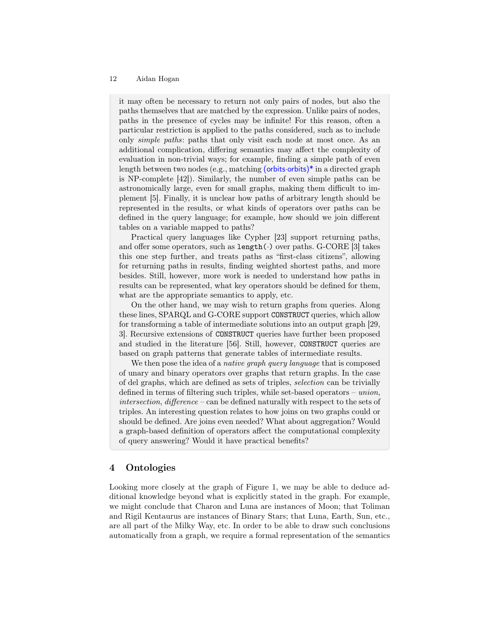it may often be necessary to return not only pairs of nodes, but also the paths themselves that are matched by the expression. Unlike pairs of nodes, paths in the presence of cycles may be infinite! For this reason, often a particular restriction is applied to the paths considered, such as to include only simple paths: paths that only visit each node at most once. As an additional complication, differing semantics may affect the complexity of evaluation in non-trivial ways; for example, finding a simple path of even length between two nodes (e.g., matching (orbits orbits)<sup>\*</sup> in a directed graph is NP-complete [\[42\]](#page-28-7)). Similarly, the number of even simple paths can be astronomically large, even for small graphs, making them difficult to implement [\[5\]](#page-25-5). Finally, it is unclear how paths of arbitrary length should be represented in the results, or what kinds of operators over paths can be defined in the query language; for example, how should we join different tables on a variable mapped to paths?

Practical query languages like Cypher [\[23\]](#page-27-2) support returning paths, and offer some operators, such as  $\text{length}(\cdot)$  over paths. G-CORE [\[3\]](#page-25-2) takes this one step further, and treats paths as "first-class citizens", allowing for returning paths in results, finding weighted shortest paths, and more besides. Still, however, more work is needed to understand how paths in results can be represented, what key operators should be defined for them, what are the appropriate semantics to apply, etc.

On the other hand, we may wish to return graphs from queries. Along these lines, SPARQL and G-CORE support CONSTRUCT queries, which allow for transforming a table of intermediate solutions into an output graph [\[29,](#page-27-1) [3\]](#page-25-2). Recursive extensions of CONSTRUCT queries have further been proposed and studied in the literature [\[56\]](#page-29-7). Still, however, CONSTRUCT queries are based on graph patterns that generate tables of intermediate results.

We then pose the idea of a *native graph query language* that is composed of unary and binary operators over graphs that return graphs. In the case of del graphs, which are defined as sets of triples, selection can be trivially defined in terms of filtering such triples, while set-based operators – union, intersection, difference – can be defined naturally with respect to the sets of triples. An interesting question relates to how joins on two graphs could or should be defined. Are joins even needed? What about aggregation? Would a graph-based definition of operators affect the computational complexity of query answering? Would it have practical benefits?

# 4 Ontologies

Looking more closely at the graph of Figure [1,](#page-3-0) we may be able to deduce additional knowledge beyond what is explicitly stated in the graph. For example, we might conclude that Charon and Luna are instances of Moon; that Toliman and Rigil Kentaurus are instances of Binary Stars; that Luna, Earth, Sun, etc., are all part of the Milky Way, etc. In order to be able to draw such conclusions automatically from a graph, we require a formal representation of the semantics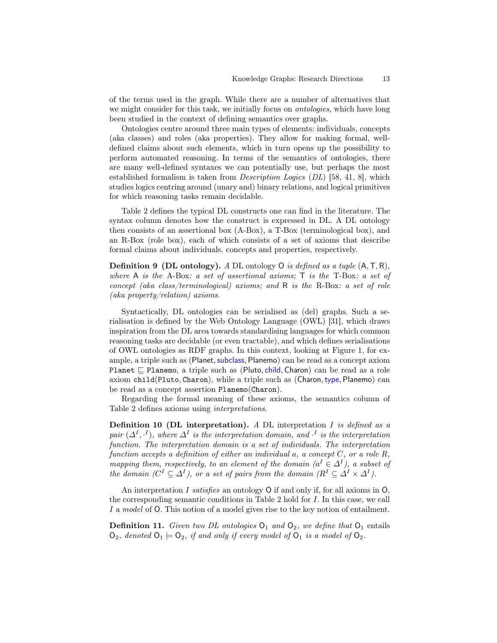of the terms used in the graph. While there are a number of alternatives that we might consider for this task, we initially focus on *ontologies*, which have long been studied in the context of defining semantics over graphs.

Ontologies centre around three main types of elements: individuals, concepts (aka classes) and roles (aka properties). They allow for making formal, welldefined claims about such elements, which in turn opens up the possibility to perform automated reasoning. In terms of the semantics of ontologies, there are many well-defined syntaxes we can potentially use, but perhaps the most established formalism is taken from Description Logics (DL) [\[58,](#page-30-4) [41,](#page-28-8) [8\]](#page-26-5), which studies logics centring around (unary and) binary relations, and logical primitives for which reasoning tasks remain decidable.

Table [2](#page-13-0) defines the typical DL constructs one can find in the literature. The syntax column denotes how the construct is expressed in DL. A DL ontology then consists of an assertional box (A-Box), a T-Box (terminological box), and an R-Box (role box), each of which consists of a set of axioms that describe formal claims about individuals, concepts and properties, respectively.

**Definition 9 (DL ontology).** A DL ontology O is defined as a tuple  $(A, T, R)$ , where A is the A-Box: a set of assertional axioms;  $\overline{\mathrm{I}}$  is the T-Box: a set of concept (aka class/terminological) axioms; and R is the R-Box: a set of role (aka property/relation) axioms.

Syntactically, DL ontologies can be serialised as (del) graphs. Such a serialisation is defined by the Web Ontology Language (OWL) [\[31\]](#page-27-3), which draws inspiration from the DL area towards standardising languages for which common reasoning tasks are decidable (or even tractable), and which defines serialisations of OWL ontologies as RDF graphs. In this context, looking at Figure [1,](#page-3-0) for example, a triple such as (Planet, subclass, Planemo) can be read as a concept axiom Planet  $\sqsubseteq$  Planemo, a triple such as (Pluto, child, Charon) can be read as a role axiom child(Pluto, Charon), while a triple such as (Charon, type, Planemo) can be read as a concept assertion Planemo(Charon).

Regarding the formal meaning of these axioms, the semantics column of Table [2](#page-13-0) defines axioms using interpretations.

**Definition 10 (DL interpretation).** A DL interpretation  $I$  is defined as a pair  $(\Delta^I, \cdot^I)$ , where  $\Delta^I$  is the interpretation domain, and  $\cdot^I$  is the interpretation function. The interpretation domain is a set of individuals. The interpretation function accepts a definition of either an individual a, a concept  $C$ , or a role  $R$ , mapping them, respectively, to an element of the domain  $(a^I \in \Delta^I)$ , a subset of the domain  $(C^I \subseteq \Delta^I)$ , or a set of pairs from the domain  $(R^I \subseteq \Delta^I \times \Delta^I)$ .

An interpretation I satisfies an ontology  $O$  if and only if, for all axioms in  $O$ , the corresponding semantic conditions in Table [2](#page-13-0) hold for I. In this case, we call I a model of O. This notion of a model gives rise to the key notion of entailment.

**Definition 11.** Given two DL ontologies  $O_1$  and  $O_2$ , we define that  $O_1$  entails  $O_2$ , denoted  $O_1 \models O_2$ , if and only if every model of  $O_1$  is a model of  $O_2$ .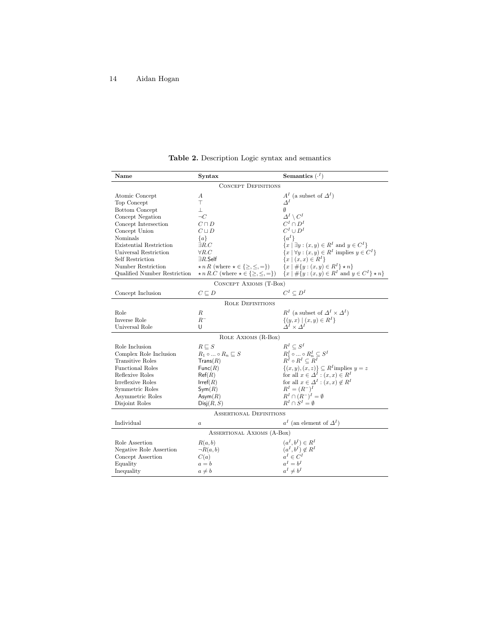| Name                           | Syntax                                                  | Semantics $(·I)$                                                                                                   |  |  |
|--------------------------------|---------------------------------------------------------|--------------------------------------------------------------------------------------------------------------------|--|--|
| <b>CONCEPT DEFINITIONS</b>     |                                                         |                                                                                                                    |  |  |
| Atomic Concept                 | А                                                       | $AI$ (a subset of $\DeltaI$ )                                                                                      |  |  |
| Top Concept                    | Τ                                                       | $\varDelta^I$                                                                                                      |  |  |
| <b>Bottom Concept</b>          | T                                                       | Ø                                                                                                                  |  |  |
| Concept Negation               | $\neg C$                                                | $\varDelta^I\setminus C^I$                                                                                         |  |  |
| Concept Intersection           | $C \sqcap D$                                            | $C^I\cap D^I$                                                                                                      |  |  |
| Concept Union                  | $C \sqcup D$                                            | $C^I\cup D^I$                                                                                                      |  |  |
| Nominals                       | $\{a\}$                                                 | $\{a^I\}$                                                                                                          |  |  |
| Existential Restriction        | $\exists R.C$                                           | $\{x \mid \exists y : (x, y) \in R^I \text{ and } y \in C^I\}$                                                     |  |  |
| Universal Restriction          | $\forall R.C$                                           | $\{x\mid \forall y: (x,y)\in R^I \text{ implies } y\in C^I\}$                                                      |  |  |
| Self Restriction               | $\exists R$ .Self                                       | ${x   (x, x) \in R^I}$                                                                                             |  |  |
| Number Restriction             | $\star n R$ (where $\star \in \{\geq, \leq, =\}$ )      | ${x \mid \# \{y : (x, y) \in R^I\} \star n}$                                                                       |  |  |
| Qualified Number Restriction   | $\star n \, R.C$ (where $\star \in \{\geq, \leq, =\}$ ) | ${x \mid \# \{y : (x, y) \in R^I \text{ and } y \in C^I\} \star n}$                                                |  |  |
| CONCEPT AXIOMS (T-Box)         |                                                         |                                                                                                                    |  |  |
| Concept Inclusion              | $C \sqsubseteq D$                                       | $C^I \subseteq D^I$                                                                                                |  |  |
| <b>ROLE DEFINITIONS</b>        |                                                         |                                                                                                                    |  |  |
| Role                           | $\cal R$                                                | $R^I$ (a subset of $\Delta^I \times \Delta^I$ )                                                                    |  |  |
| Inverse Role                   | $R^-$                                                   | $\{ (y,x) \:   \: (x,y) \in R^I \}$ $\varDelta^I \times \varDelta^I$                                               |  |  |
| Universal Role                 | U                                                       |                                                                                                                    |  |  |
| ROLE AXIOMS (R-Box)            |                                                         |                                                                                                                    |  |  |
| Role Inclusion                 | $R \sqsubseteq S$                                       | $R^I \subseteq S^I$                                                                                                |  |  |
| Complex Role Inclusion         | $R_1 \circ \ldots \circ R_n \sqsubseteq S$              |                                                                                                                    |  |  |
| Transitive Roles               | $\mathsf{Trans}(R)$                                     | $\begin{array}{l} R_1^I \circ \ldots \circ R_n^I \subseteq S^I \\ R^I \circ R^I \subseteq R^{\bar{I}} \end{array}$ |  |  |
| <b>Functional Roles</b>        | Func(R)                                                 | $\{(x, y), (x, z)\}\subseteq R^I$ implies $y = z$                                                                  |  |  |
| Reflexive Roles                | Ref(R)                                                  | for all $x \in \Delta^I : (x, x) \in R^I$                                                                          |  |  |
| Irreflexive Roles              | Irref(R)                                                | for all $x \in \Delta^I : (x, x) \notin R^I$                                                                       |  |  |
| Symmetric Roles                | Sym(R)                                                  | $R^{I} = (R^{-})^{I}$                                                                                              |  |  |
| Asymmetric Roles               | Asym $(R)$                                              | $R^I \cap (R^-)^I = \emptyset$                                                                                     |  |  |
| Disjoint Roles                 | Disj(R, S)                                              | $R^I \cap S^I = \emptyset$                                                                                         |  |  |
| <b>ASSERTIONAL DEFINITIONS</b> |                                                         |                                                                                                                    |  |  |
| Individual                     | $\boldsymbol{a}$                                        | $a^I$ (an element of $\Delta^I$ )                                                                                  |  |  |
| ASSERTIONAL AXIOMS (A-Box)     |                                                         |                                                                                                                    |  |  |
| Role Assertion                 | $(a^I, b^I) \in R^I$<br>R(a,b)                          |                                                                                                                    |  |  |
| Negative Role Assertion        | $\neg R(a,b)$                                           | $(a^I, b^I) \notin R^I$                                                                                            |  |  |
| Concept Assertion              | C(a)                                                    | $a^I \in C^I$                                                                                                      |  |  |
| Equality                       | $a = b$                                                 | $a^I = b^I$                                                                                                        |  |  |
| Inequality                     | $a \neq b$                                              | $a^I \neq b^I$                                                                                                     |  |  |
|                                |                                                         |                                                                                                                    |  |  |

<span id="page-13-0"></span>Table 2. Description Logic syntax and semantics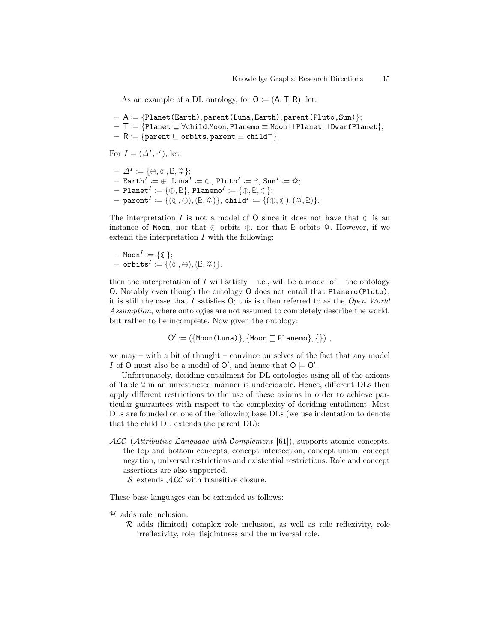As an example of a DL ontology, for  $O := (A, T, R)$ , let:

- $A := \{$ Planet(Earth), parent(Luna, Earth), parent(Pluto, Sun) $\};$
- $-$  T := {Planet  $\sqsubset$   $\forall$ child.Moon, Planemo  $\equiv$  Moon  $\sqcup$  Planet  $\sqcup$  DwarfPlanet};
- $R := \{parent \sqsubseteq orbits, parent \equiv child^{-}\}.$

For  $I = (\Delta^I, \cdot^I)$ , let:

- $\begin{aligned} -\Delta^I &\coloneqq \{\oplus, \mathbb{C}, \mathbb{R}, \mathfrak{R}\};\ -\text{ Earth}^I &\coloneqq \oplus, \text{ Luna}^I &\coloneqq \mathbb{C}\,, \text{ Pluto}^I &\coloneqq \mathbb{R}, \text{Sun}^I &\coloneqq \mathfrak{R};\ \mathbf{S} &\coloneqq \mathbb{R}\,, \text{Sun}^I &\coloneqq \mathbb{R}\,, \text{Stab}^I \end{aligned}$
- $-$  Planet<sup> $I := {\oplus, \boxtimes, \text{Planemo}^I} := {\oplus, \boxtimes, \oplus, \text{mod}}$ </sup>
- $-$  parent<sup> $I := \{(\mathfrak{C}, \oplus), (\mathfrak{D}, \dot{\mathfrak{D}})\},$  child $I := \{(\oplus, \mathfrak{C}),(\dot{\mathfrak{P}}, \mathfrak{D})\}.$ </sup>

The interpretation I is not a model of  $\overline{O}$  since it does not have that  $\mathbb C$  is an instance of Moon, nor that  $\mathbb C$  orbits  $\oplus$ , nor that  $\mathbb E$  orbits  $\mathfrak{D}$ . However, if we extend the interpretation  $I$  with the following:

$$
- \text{ Moon}^I := \{ \text{ } \textcircled{}, \\ - \text{ orbits}^I := \{ (\text{ } \textcircled{}, \oplus), (\text{ } \text{ } \textcircled{}, \text{ } \textcircled{}) \}.
$$

then the interpretation of I will satisfy – i.e., will be a model of – the ontology O. Notably even though the ontology O does not entail that Planemo(Pluto), it is still the case that I satisfies O; this is often referred to as the Open World Assumption, where ontologies are not assumed to completely describe the world, but rather to be incomplete. Now given the ontology:

$$
O' := (\{ \text{Moon}(\text{Luna}) \}, \{ \text{Moon} \sqsubseteq \text{Planemo} \}, \{\}) ,
$$

we may – with a bit of thought – convince ourselves of the fact that any model I of O must also be a model of O', and hence that  $O \models O'$ .

Unfortunately, deciding entailment for DL ontologies using all of the axioms of Table [2](#page-13-0) in an unrestricted manner is undecidable. Hence, different DLs then apply different restrictions to the use of these axioms in order to achieve particular guarantees with respect to the complexity of deciding entailment. Most DLs are founded on one of the following base DLs (we use indentation to denote that the child DL extends the parent DL):

ALC (Attributive Language with Complement [\[61\]](#page-30-5)), supports atomic concepts, the top and bottom concepts, concept intersection, concept union, concept negation, universal restrictions and existential restrictions. Role and concept assertions are also supported.

 $\mathcal S$  extends  $\mathcal{ALC}$  with transitive closure.

These base languages can be extended as follows:

 $H$  adds role inclusion.

R adds (limited) complex role inclusion, as well as role reflexivity, role irreflexivity, role disjointness and the universal role.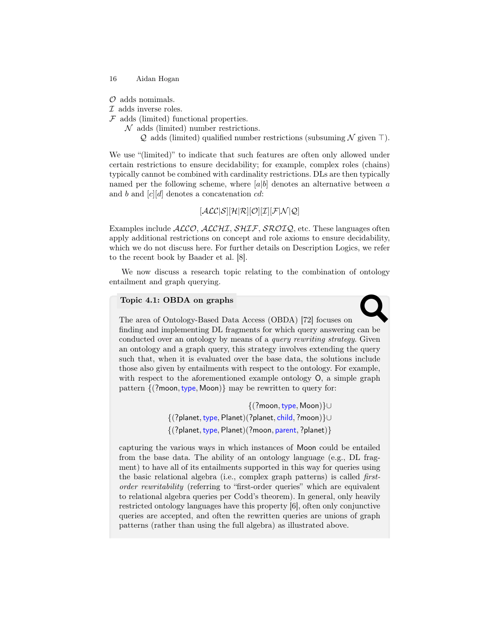$\mathcal O$  adds nomimals.

 $I$  adds inverse roles.

 $F$  adds (limited) functional properties.

 $\mathcal N$  adds (limited) number restrictions.

 $Q$  adds (limited) qualified number restrictions (subsuming  $N$  given  $\top$ ).

We use "(limited)" to indicate that such features are often only allowed under certain restrictions to ensure decidability; for example, complex roles (chains) typically cannot be combined with cardinality restrictions. DLs are then typically named per the following scheme, where  $[a|b]$  denotes an alternative between a and b and  $[c][d]$  denotes a concatenation  $cd$ :

# $[ALC|S||H|R][O][I][F|N|Q]$

Examples include  $ALCO$ ,  $ALCHI$ ,  $SHIF$ ,  $SROIQ$ , etc. These languages often apply additional restrictions on concept and role axioms to ensure decidability, which we do not discuss here. For further details on Description Logics, we refer to the recent book by Baader et al. [\[8\]](#page-26-5).

We now discuss a research topic relating to the combination of ontology entailment and graph querying.

## Topic 4.1: OBDA on graphs



The area of Ontology-Based Data Access (OBDA) [\[72\]](#page-31-1) focuses on finding and implementing DL fragments for which query answering can be conducted over an ontology by means of a query rewriting strategy. Given an ontology and a graph query, this strategy involves extending the query such that, when it is evaluated over the base data, the solutions include those also given by entailments with respect to the ontology. For example, with respect to the aforementioned example ontology  $O$ , a simple graph pattern  $\{$  (?moon, type, Moon)} may be rewritten to query for:

> {(?moon,type, Moon)}∪ {(?planet,type, Planet)(?planet, child, ?moon)}∪ {(?planet,type, Planet)(?moon, parent, ?planet)}

capturing the various ways in which instances of Moon could be entailed from the base data. The ability of an ontology language (e.g., DL fragment) to have all of its entailments supported in this way for queries using the basic relational algebra (i.e., complex graph patterns) is called firstorder rewritability (referring to "first-order queries" which are equivalent to relational algebra queries per Codd's theorem). In general, only heavily restricted ontology languages have this property [\[6\]](#page-25-6), often only conjunctive queries are accepted, and often the rewritten queries are unions of graph patterns (rather than using the full algebra) as illustrated above.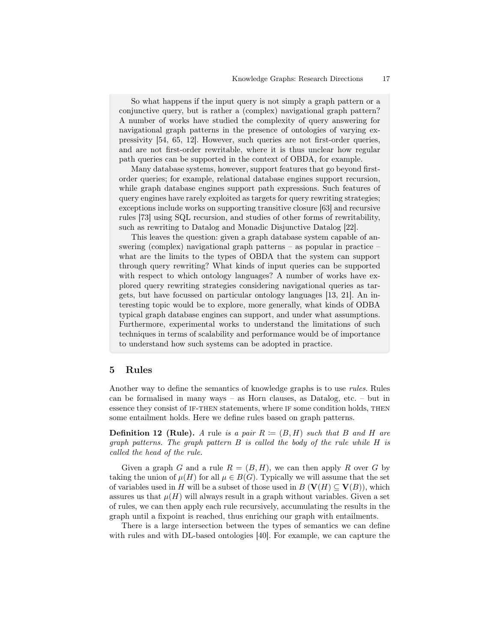So what happens if the input query is not simply a graph pattern or a conjunctive query, but is rather a (complex) navigational graph pattern? A number of works have studied the complexity of query answering for navigational graph patterns in the presence of ontologies of varying expressivity [\[54,](#page-29-8) [65,](#page-30-6) [12\]](#page-26-6). However, such queries are not first-order queries, and are not first-order rewritable, where it is thus unclear how regular path queries can be supported in the context of OBDA, for example.

Many database systems, however, support features that go beyond firstorder queries; for example, relational database engines support recursion, while graph database engines support path expressions. Such features of query engines have rarely exploited as targets for query rewriting strategies; exceptions include works on supporting transitive closure [\[63\]](#page-30-7) and recursive rules [\[73\]](#page-31-2) using SQL recursion, and studies of other forms of rewritability, such as rewriting to Datalog and Monadic Disjunctive Datalog [\[22\]](#page-26-7).

This leaves the question: given a graph database system capable of answering (complex) navigational graph patterns – as popular in practice – what are the limits to the types of OBDA that the system can support through query rewriting? What kinds of input queries can be supported with respect to which ontology languages? A number of works have explored query rewriting strategies considering navigational queries as targets, but have focussed on particular ontology languages [\[13,](#page-26-8) [21\]](#page-26-9). An interesting topic would be to explore, more generally, what kinds of ODBA typical graph database engines can support, and under what assumptions. Furthermore, experimental works to understand the limitations of such techniques in terms of scalability and performance would be of importance to understand how such systems can be adopted in practice.

## 5 Rules

Another way to define the semantics of knowledge graphs is to use rules. Rules can be formalised in many ways – as Horn clauses, as Datalog, etc. – but in essence they consist of IF-THEN statements, where IF some condition holds, THEN some entailment holds. Here we define rules based on graph patterns.

**Definition 12 (Rule).** A rule is a pair  $R := (B, H)$  such that B and H are graph patterns. The graph pattern  $B$  is called the body of the rule while  $H$  is called the head of the rule.

Given a graph G and a rule  $R = (B, H)$ , we can then apply R over G by taking the union of  $\mu(H)$  for all  $\mu \in B(G)$ . Typically we will assume that the set of variables used in H will be a subset of those used in  $B(\mathbf{V}(H) \subseteq \mathbf{V}(B))$ , which assures us that  $\mu(H)$  will always result in a graph without variables. Given a set of rules, we can then apply each rule recursively, accumulating the results in the graph until a fixpoint is reached, thus enriching our graph with entailments.

There is a large intersection between the types of semantics we can define with rules and with DL-based ontologies [\[40\]](#page-28-9). For example, we can capture the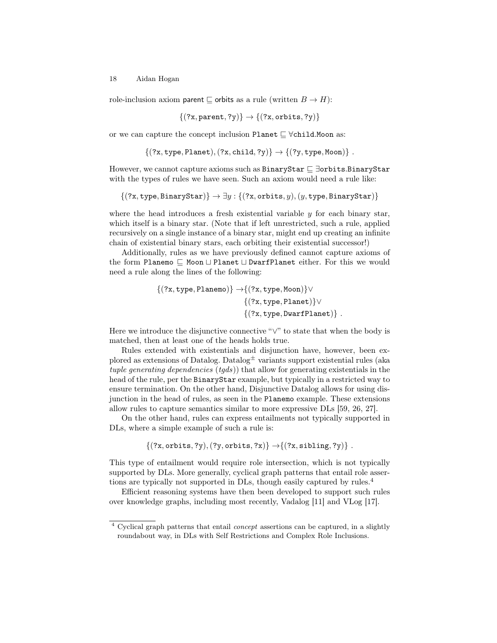role-inclusion axiom parent  $\sqsubseteq$  orbits as a rule (written  $B \to H$ ):

$$
\{(?x, parent, ?y)\} \rightarrow \{(?x, orbits, ?y)\}
$$

or we can capture the concept inclusion Planet  $\subseteq \forall$ child.Moon as:

 $\{(?x, type, Planet), (?x, child, ?y)\} \rightarrow \{(?y, type, Moon)\}.$ 

However, we cannot capture axioms such as BinaryStar  $\Box$  ∃orbits.BinaryStar with the types of rules we have seen. Such an axiom would need a rule like:

 $\{(?x, type, BinaryStar)\}\rightarrow \exists y: \{(?x, orbits, y), (y, type, BinaryStar)\}$ 

where the head introduces a fresh existential variable  $y$  for each binary star, which itself is a binary star. (Note that if left unrestricted, such a rule, applied recursively on a single instance of a binary star, might end up creating an infinite chain of existential binary stars, each orbiting their existential successor!)

Additionally, rules as we have previously defined cannot capture axioms of the form Planemo  $\sqsubseteq$  Moon  $\sqcup$  Planet  $\sqcup$  DwarfPlanet either. For this we would need a rule along the lines of the following:

$$
{\begin{aligned}\n\{(?x, type, Planemo)\} &\rightarrow\{(?x, type, Moon)\} \vee \\
&\{(?x, type, Planet)\} \vee \\
&\{(?x, type, DwarfPlanet)\}.\n\end{aligned}}
$$

Here we introduce the disjunctive connective "∨" to state that when the body is matched, then at least one of the heads holds true.

Rules extended with existentials and disjunction have, however, been explored as extensions of Datalog. Datalog $\pm$  variants support existential rules (aka tuple generating dependencies (tgds)) that allow for generating existentials in the head of the rule, per the BinaryStar example, but typically in a restricted way to ensure termination. On the other hand, Disjunctive Datalog allows for using disjunction in the head of rules, as seen in the Planemo example. These extensions allow rules to capture semantics similar to more expressive DLs [\[59,](#page-30-8) [26,](#page-27-4) [27\]](#page-27-5).

On the other hand, rules can express entailments not typically supported in DLs, where a simple example of such a rule is:

 $\{(?x, orbits, ?y), (?y, orbits, ?x)\} \rightarrow \{(?x, sibling, ?y)\}.$ 

This type of entailment would require role intersection, which is not typically supported by DLs. More generally, cyclical graph patterns that entail role assertions are typically not supported in DLs, though easily captured by rules.[4](#page-17-0)

Efficient reasoning systems have then been developed to support such rules over knowledge graphs, including most recently, Vadalog [\[11\]](#page-26-10) and VLog [\[17\]](#page-26-11).

<span id="page-17-0"></span><sup>4</sup> Cyclical graph patterns that entail concept assertions can be captured, in a slightly roundabout way, in DLs with Self Restrictions and Complex Role Inclusions.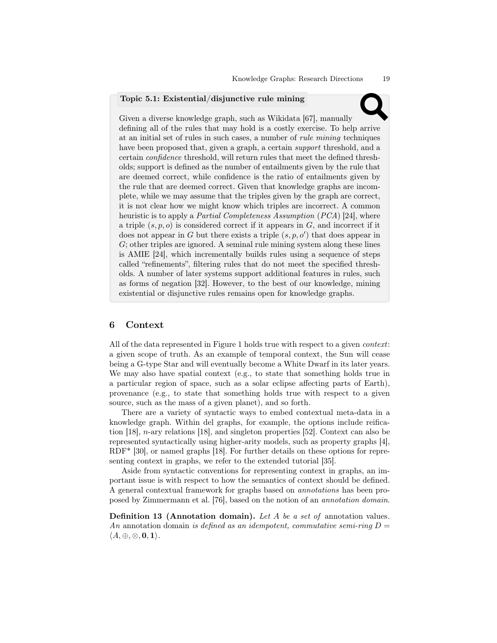#### Topic 5.1: Existential/disjunctive rule mining



Given a diverse knowledge graph, such as Wikidata [\[67\]](#page-30-1), manually defining all of the rules that may hold is a costly exercise. To help arrive at an initial set of rules in such cases, a number of rule mining techniques have been proposed that, given a graph, a certain *support* threshold, and a certain confidence threshold, will return rules that meet the defined thresholds; support is defined as the number of entailments given by the rule that are deemed correct, while confidence is the ratio of entailments given by the rule that are deemed correct. Given that knowledge graphs are incomplete, while we may assume that the triples given by the graph are correct, it is not clear how we might know which triples are incorrect. A common heuristic is to apply a *Partial Completeness Assumption (PCA)* [\[24\]](#page-27-6), where a triple  $(s, p, o)$  is considered correct if it appears in G, and incorrect if it does not appear in G but there exists a triple  $(s, p, o')$  that does appear in G; other triples are ignored. A seminal rule mining system along these lines is AMIE [\[24\]](#page-27-6), which incrementally builds rules using a sequence of steps called "refinements", filtering rules that do not meet the specified thresholds. A number of later systems support additional features in rules, such as forms of negation [\[32\]](#page-27-7). However, to the best of our knowledge, mining existential or disjunctive rules remains open for knowledge graphs.

## 6 Context

All of the data represented in Figure [1](#page-3-0) holds true with respect to a given context: a given scope of truth. As an example of temporal context, the Sun will cease being a G-type Star and will eventually become a White Dwarf in its later years. We may also have spatial context (e.g., to state that something holds true in a particular region of space, such as a solar eclipse affecting parts of Earth), provenance (e.g., to state that something holds true with respect to a given source, such as the mass of a given planet), and so forth.

There are a variety of syntactic ways to embed contextual meta-data in a knowledge graph. Within del graphs, for example, the options include reification [\[18\]](#page-26-2), n-ary relations [\[18\]](#page-26-2), and singleton properties [\[52\]](#page-29-9). Context can also be represented syntactically using higher-arity models, such as property graphs [\[4\]](#page-25-1), RDF\* [\[30\]](#page-27-8), or named graphs [\[18\]](#page-26-2). For further details on these options for representing context in graphs, we refer to the extended tutorial [\[35\]](#page-28-0).

Aside from syntactic conventions for representing context in graphs, an important issue is with respect to how the semantics of context should be defined. A general contextual framework for graphs based on annotations has been proposed by Zimmermann et al. [\[76\]](#page-31-3), based on the notion of an annotation domain.

Definition 13 (Annotation domain). Let A be a set of annotation values. An annotation domain is defined as an idempotent, commutative semi-ring  $D =$  $\langle A, \oplus, \otimes, \mathbf{0}, \mathbf{1} \rangle$ .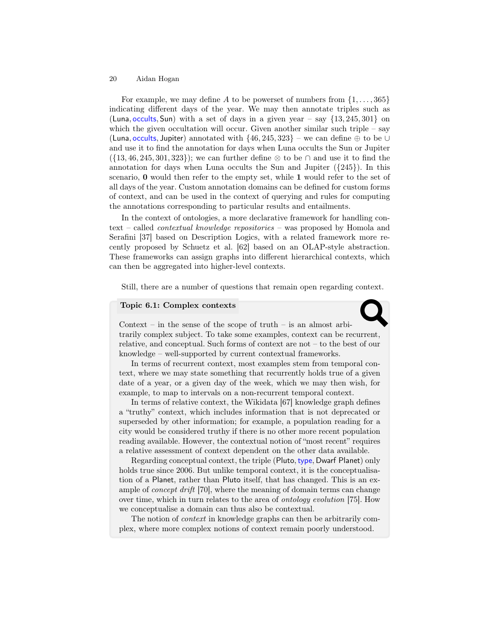For example, we may define A to be powerset of numbers from  $\{1, \ldots, 365\}$ indicating different days of the year. We may then annotate triples such as (Luna, occults, Sun) with a set of days in a given year – say  $\{13, 245, 301\}$  on which the given occultation will occur. Given another similar such triple – say (Luna, occults, Jupiter) annotated with  $\{46, 245, 323\}$  – we can define  $\oplus$  to be ∪ and use it to find the annotation for days when Luna occults the Sun or Jupiter  $({13, 46, 245, 301, 323})$ ; we can further define ⊗ to be ∩ and use it to find the annotation for days when Luna occults the Sun and Jupiter  $({245})$ . In this scenario, 0 would then refer to the empty set, while 1 would refer to the set of all days of the year. Custom annotation domains can be defined for custom forms of context, and can be used in the context of querying and rules for computing the annotations corresponding to particular results and entailments.

In the context of ontologies, a more declarative framework for handling context – called contextual knowledge repositories – was proposed by Homola and Serafini [\[37\]](#page-28-10) based on Description Logics, with a related framework more recently proposed by Schuetz et al. [\[62\]](#page-30-9) based on an OLAP-style abstraction. These frameworks can assign graphs into different hierarchical contexts, which can then be aggregated into higher-level contexts.

Still, there are a number of questions that remain open regarding context.

#### Topic 6.1: Complex contexts

Context – in the sense of the scope of truth – is an almost arbitrarily complex subject. To take some examples, context can be recurrent, relative, and conceptual. Such forms of context are not – to the best of our knowledge – well-supported by current contextual frameworks.

In terms of recurrent context, most examples stem from temporal context, where we may state something that recurrently holds true of a given date of a year, or a given day of the week, which we may then wish, for example, to map to intervals on a non-recurrent temporal context.

In terms of relative context, the Wikidata [\[67\]](#page-30-1) knowledge graph defines a "truthy" context, which includes information that is not deprecated or superseded by other information; for example, a population reading for a city would be considered truthy if there is no other more recent population reading available. However, the contextual notion of "most recent" requires a relative assessment of context dependent on the other data available.

Regarding conceptual context, the triple (Pluto, type, Dwarf Planet) only holds true since 2006. But unlike temporal context, it is the conceptualisation of a Planet, rather than Pluto itself, that has changed. This is an example of *concept drift* [\[70\]](#page-31-4), where the meaning of domain terms can change over time, which in turn relates to the area of *ontology evolution* [\[75\]](#page-31-5). How we conceptualise a domain can thus also be contextual.

The notion of context in knowledge graphs can then be arbitrarily complex, where more complex notions of context remain poorly understood.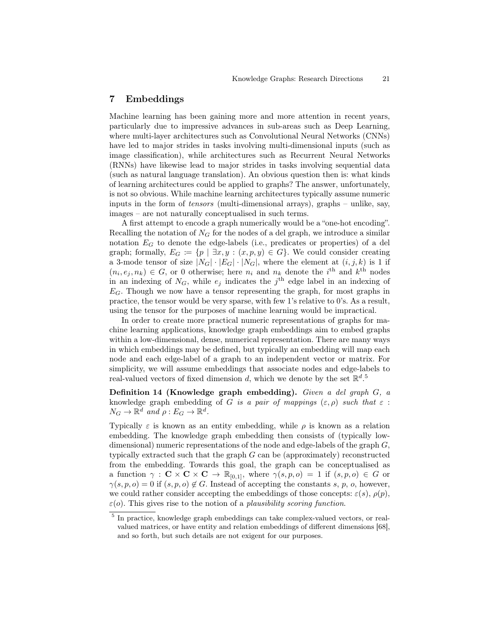## 7 Embeddings

Machine learning has been gaining more and more attention in recent years, particularly due to impressive advances in sub-areas such as Deep Learning, where multi-layer architectures such as Convolutional Neural Networks (CNNs) have led to major strides in tasks involving multi-dimensional inputs (such as image classification), while architectures such as Recurrent Neural Networks (RNNs) have likewise lead to major strides in tasks involving sequential data (such as natural language translation). An obvious question then is: what kinds of learning architectures could be applied to graphs? The answer, unfortunately, is not so obvious. While machine learning architectures typically assume numeric inputs in the form of tensors (multi-dimensional arrays), graphs – unlike, say, images – are not naturally conceptualised in such terms.

A first attempt to encode a graph numerically would be a "one-hot encoding". Recalling the notation of  $N<sub>G</sub>$  for the nodes of a del graph, we introduce a similar notation  $E_G$  to denote the edge-labels (i.e., predicates or properties) of a del graph; formally,  $E_G := \{p \mid \exists x, y : (x, p, y) \in G\}$ . We could consider creating a 3-mode tensor of size  $|N_G| \cdot |E_G| \cdot |N_G|$ , where the element at  $(i, j, k)$  is 1 if  $(n_i, e_j, n_k) \in G$ , or 0 otherwise; here  $n_i$  and  $n_k$  denote the i<sup>th</sup> and  $k^{\text{th}}$  nodes in an indexing of  $N_G$ , while  $e_j$  indicates the  $j<sup>th</sup>$  edge label in an indexing of  $E_G$ . Though we now have a tensor representing the graph, for most graphs in practice, the tensor would be very sparse, with few 1's relative to 0's. As a result, using the tensor for the purposes of machine learning would be impractical.

In order to create more practical numeric representations of graphs for machine learning applications, knowledge graph embeddings aim to embed graphs within a low-dimensional, dense, numerical representation. There are many ways in which embeddings may be defined, but typically an embedding will map each node and each edge-label of a graph to an independent vector or matrix. For simplicity, we will assume embeddings that associate nodes and edge-labels to real-valued vectors of fixed dimension d, which we denote by the set  $\mathbb{R}^{d}$ .<sup>[5](#page-20-0)</sup>

Definition 14 (Knowledge graph embedding). Given a del graph G, a knowledge graph embedding of G is a pair of mappings  $(\varepsilon, \rho)$  such that  $\varepsilon$ :  $N_G \to \mathbb{R}^d$  and  $\rho: E_G \to \mathbb{R}^d$ .

Typically  $\varepsilon$  is known as an entity embedding, while  $\rho$  is known as a relation embedding. The knowledge graph embedding then consists of (typically lowdimensional) numeric representations of the node and edge-labels of the graph  $G$ , typically extracted such that the graph  $G$  can be (approximately) reconstructed from the embedding. Towards this goal, the graph can be conceptualised as a function  $\gamma : \mathbf{C} \times \mathbf{C} \times \mathbf{C} \to \mathbb{R}_{[0,1]},$  where  $\gamma(s,p,o) = 1$  if  $(s,p,o) \in G$  or  $\gamma(s, p, o) = 0$  if  $(s, p, o) \notin G$ . Instead of accepting the constants s, p, o, however, we could rather consider accepting the embeddings of those concepts:  $\varepsilon(s)$ ,  $\rho(p)$ ,  $\varepsilon$ (o). This gives rise to the notion of a *plausibility scoring function*.

<span id="page-20-0"></span><sup>&</sup>lt;sup>5</sup> In practice, knowledge graph embeddings can take complex-valued vectors, or realvalued matrices, or have entity and relation embeddings of different dimensions [\[68\]](#page-30-2), and so forth, but such details are not exigent for our purposes.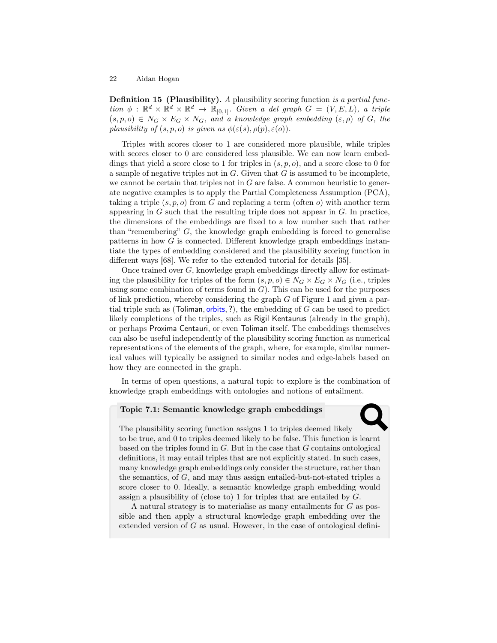**Definition 15 (Plausibility).** A plausibility scoring function is a partial function  $\phi : \mathbb{R}^d \times \mathbb{R}^d \times \mathbb{R}^d \to \mathbb{R}_{[0,1]}$ . Given a del graph  $G = (V, E, L)$ , a triple  $(s, p, o) \in N_G \times E_G \times N_G$ , and a knowledge graph embedding  $(\varepsilon, \rho)$  of G, the plausibility of  $(s, p, o)$  is given as  $\phi(\varepsilon(s), \rho(p), \varepsilon(o))$ .

Triples with scores closer to 1 are considered more plausible, while triples with scores closer to 0 are considered less plausible. We can now learn embeddings that yield a score close to 1 for triples in  $(s, p, o)$ , and a score close to 0 for a sample of negative triples not in  $G$ . Given that  $G$  is assumed to be incomplete, we cannot be certain that triples not in  $G$  are false. A common heuristic to generate negative examples is to apply the Partial Completeness Assumption (PCA), taking a triple  $(s, p, o)$  from G and replacing a term (often o) with another term appearing in  $G$  such that the resulting triple does not appear in  $G$ . In practice, the dimensions of the embeddings are fixed to a low number such that rather than "remembering"  $G$ , the knowledge graph embedding is forced to generalise patterns in how G is connected. Different knowledge graph embeddings instantiate the types of embedding considered and the plausibility scoring function in different ways [\[68\]](#page-30-2). We refer to the extended tutorial for details [\[35\]](#page-28-0).

Once trained over  $G$ , knowledge graph embeddings directly allow for estimating the plausibility for triples of the form  $(s, p, o) \in N_G \times E_G \times N_G$  (i.e., triples using some combination of terms found in  $G$ ). This can be used for the purposes of link prediction, whereby considering the graph G of Figure [1](#page-3-0) and given a partial triple such as (Toliman, orbits, ?), the embedding of  $G$  can be used to predict likely completions of the triples, such as Rigil Kentaurus (already in the graph), or perhaps Proxima Centauri, or even Toliman itself. The embeddings themselves can also be useful independently of the plausibility scoring function as numerical representations of the elements of the graph, where, for example, similar numerical values will typically be assigned to similar nodes and edge-labels based on how they are connected in the graph.

In terms of open questions, a natural topic to explore is the combination of knowledge graph embeddings with ontologies and notions of entailment.

#### Topic 7.1: Semantic knowledge graph embeddings



The plausibility scoring function assigns 1 to triples deemed likely to be true, and 0 to triples deemed likely to be false. This function is learnt based on the triples found in  $G$ . But in the case that  $G$  contains ontological definitions, it may entail triples that are not explicitly stated. In such cases, many knowledge graph embeddings only consider the structure, rather than the semantics, of G, and may thus assign entailed-but-not-stated triples a score closer to 0. Ideally, a semantic knowledge graph embedding would assign a plausibility of (close to) 1 for triples that are entailed by  $G$ .

A natural strategy is to materialise as many entailments for G as possible and then apply a structural knowledge graph embedding over the extended version of G as usual. However, in the case of ontological defini-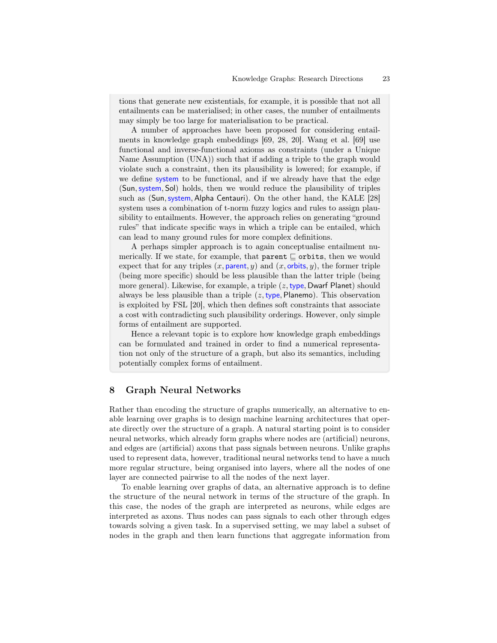tions that generate new existentials, for example, it is possible that not all entailments can be materialised; in other cases, the number of entailments may simply be too large for materialisation to be practical.

A number of approaches have been proposed for considering entailments in knowledge graph embeddings [\[69,](#page-30-10) [28,](#page-27-9) [20\]](#page-26-12). Wang et al. [\[69\]](#page-30-10) use functional and inverse-functional axioms as constraints (under a Unique Name Assumption (UNA)) such that if adding a triple to the graph would violate such a constraint, then its plausibility is lowered; for example, if we define system to be functional, and if we already have that the edge (Sun, system, Sol) holds, then we would reduce the plausibility of triples such as (Sun, system, Alpha Centauri). On the other hand, the KALE [\[28\]](#page-27-9) system uses a combination of t-norm fuzzy logics and rules to assign plausibility to entailments. However, the approach relies on generating "ground rules" that indicate specific ways in which a triple can be entailed, which can lead to many ground rules for more complex definitions.

A perhaps simpler approach is to again conceptualise entailment numerically. If we state, for example, that parent  $\subseteq$  orbits, then we would expect that for any triples  $(x,$  parent, y) and  $(x,$  orbits, y), the former triple (being more specific) should be less plausible than the latter triple (being more general). Likewise, for example, a triple  $(z, type, Power$  Planet) should always be less plausible than a triple  $(z, type, Planemo)$ . This observation is exploited by FSL [\[20\]](#page-26-12), which then defines soft constraints that associate a cost with contradicting such plausibility orderings. However, only simple forms of entailment are supported.

Hence a relevant topic is to explore how knowledge graph embeddings can be formulated and trained in order to find a numerical representation not only of the structure of a graph, but also its semantics, including potentially complex forms of entailment.

## 8 Graph Neural Networks

Rather than encoding the structure of graphs numerically, an alternative to enable learning over graphs is to design machine learning architectures that operate directly over the structure of a graph. A natural starting point is to consider neural networks, which already form graphs where nodes are (artificial) neurons, and edges are (artificial) axons that pass signals between neurons. Unlike graphs used to represent data, however, traditional neural networks tend to have a much more regular structure, being organised into layers, where all the nodes of one layer are connected pairwise to all the nodes of the next layer.

To enable learning over graphs of data, an alternative approach is to define the structure of the neural network in terms of the structure of the graph. In this case, the nodes of the graph are interpreted as neurons, while edges are interpreted as axons. Thus nodes can pass signals to each other through edges towards solving a given task. In a supervised setting, we may label a subset of nodes in the graph and then learn functions that aggregate information from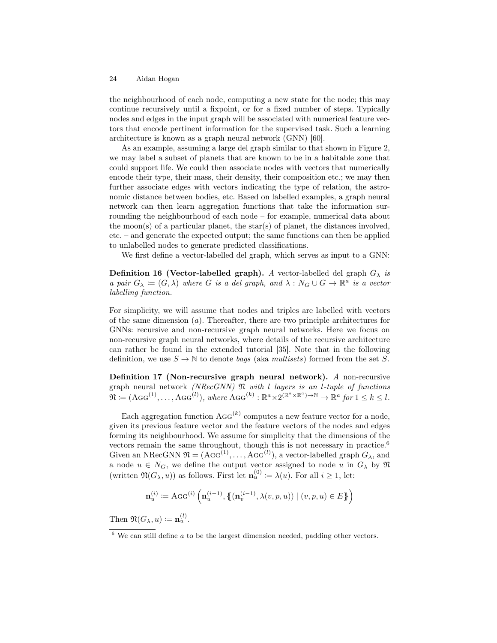the neighbourhood of each node, computing a new state for the node; this may continue recursively until a fixpoint, or for a fixed number of steps. Typically nodes and edges in the input graph will be associated with numerical feature vectors that encode pertinent information for the supervised task. Such a learning architecture is known as a graph neural network (GNN) [\[60\]](#page-30-11).

As an example, assuming a large del graph similar to that shown in Figure [2,](#page-4-0) we may label a subset of planets that are known to be in a habitable zone that could support life. We could then associate nodes with vectors that numerically encode their type, their mass, their density, their composition etc.; we may then further associate edges with vectors indicating the type of relation, the astronomic distance between bodies, etc. Based on labelled examples, a graph neural network can then learn aggregation functions that take the information surrounding the neighbourhood of each node – for example, numerical data about the moon(s) of a particular planet, the star(s) of planet, the distances involved, etc. – and generate the expected output; the same functions can then be applied to unlabelled nodes to generate predicted classifications.

We first define a vector-labelled del graph, which serves as input to a GNN:

**Definition 16 (Vector-labelled graph).** A vector-labelled del graph  $G_{\lambda}$  is a pair  $G_{\lambda} := (G, \lambda)$  where G is a del graph, and  $\lambda : N_G \cup G \to \mathbb{R}^a$  is a vector labelling function.

For simplicity, we will assume that nodes and triples are labelled with vectors of the same dimension  $(a)$ . Thereafter, there are two principle architectures for GNNs: recursive and non-recursive graph neural networks. Here we focus on non-recursive graph neural networks, where details of the recursive architecture can rather be found in the extended tutorial [\[35\]](#page-28-0). Note that in the following definition, we use  $S \to \mathbb{N}$  to denote bags (aka multisets) formed from the set S.

Definition 17 (Non-recursive graph neural network). A non-recursive graph neural network (NRecGNN)  $\mathfrak N$  with l layers is an l-tuple of functions  $\mathfrak{N} \coloneqq (\mathrm{Agg}^{(1)}, \ldots, \mathrm{Agg}^{(l)}), \text{ where } \mathrm{Agg}^{(k)} : \mathbb{R}^a \times 2^{(\mathbb{R}^a \times \mathbb{R}^a) \to \mathbb{N}} \to \mathbb{R}^a \text{ for } 1 \leq k \leq l.$ 

Each aggregation function  $\text{AgG}^{(k)}$  computes a new feature vector for a node, given its previous feature vector and the feature vectors of the nodes and edges forming its neighbourhood. We assume for simplicity that the dimensions of the vectors remain the same throughout, though this is not necessary in practice.[6](#page-23-0) Given an NRecGNN  $\mathfrak{N} = (AGG^{(1)}, \ldots, AGG^{(l)})$ , a vector-labelled graph  $G_{\lambda}$ , and a node  $u \in N_G$ , we define the output vector assigned to node u in  $G_\lambda$  by  $\mathfrak N$ (written  $\mathfrak{N}(G_\lambda, u)$ ) as follows. First let  $\mathbf{n}_u^{(0)} := \lambda(u)$ . For all  $i \geq 1$ , let:

$$
\mathbf{n}_u^{(i)} \coloneqq \mathrm{AGG}^{(i)}\left(\mathbf{n}_u^{(i-1)}, \{\!\!\{(\mathbf{n}_v^{(i-1)}, \lambda(v,p,u)) \mid (v,p,u) \in E\}\!\!\} \right)
$$

Then  $\mathfrak{N}(G_{\lambda}, u) \coloneqq \mathbf{n}_u^{(l)}$ .

<span id="page-23-0"></span> $6$  We can still define a to be the largest dimension needed, padding other vectors.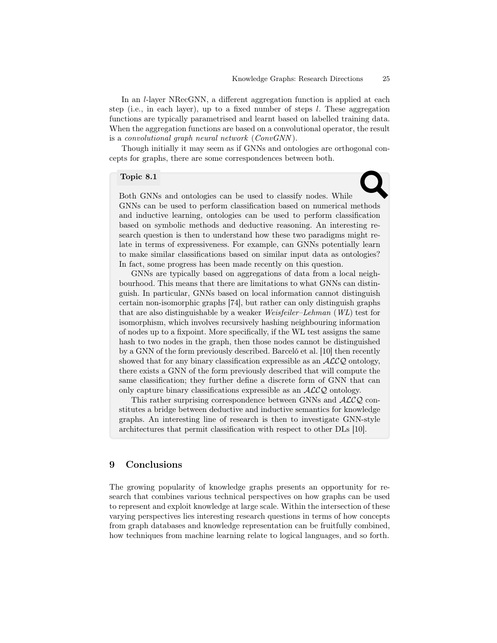In an l-layer NRecGNN, a different aggregation function is applied at each step (i.e., in each layer), up to a fixed number of steps  $l$ . These aggregation functions are typically parametrised and learnt based on labelled training data. When the aggregation functions are based on a convolutional operator, the result is a convolutional graph neural network (ConvGNN ).

Though initially it may seem as if GNNs and ontologies are orthogonal concepts for graphs, there are some correspondences between both.

## Topic 8.1

Both GNNs and ontologies can be used to classify nodes. While GNNs can be used to perform classification based on numerical methods and inductive learning, ontologies can be used to perform classification based on symbolic methods and deductive reasoning. An interesting research question is then to understand how these two paradigms might relate in terms of expressiveness. For example, can GNNs potentially learn to make similar classifications based on similar input data as ontologies? In fact, some progress has been made recently on this question.

GNNs are typically based on aggregations of data from a local neighbourhood. This means that there are limitations to what GNNs can distinguish. In particular, GNNs based on local information cannot distinguish certain non-isomorphic graphs [\[74\]](#page-31-6), but rather can only distinguish graphs that are also distinguishable by a weaker Weisfeiler–Lehman (WL) test for isomorphism, which involves recursively hashing neighbouring information of nodes up to a fixpoint. More specifically, if the WL test assigns the same hash to two nodes in the graph, then those nodes cannot be distinguished by a GNN of the form previously described. Barceló et al. [\[10\]](#page-26-13) then recently showed that for any binary classification expressible as an  $ALCQ$  ontology, there exists a GNN of the form previously described that will compute the same classification; they further define a discrete form of GNN that can only capture binary classifications expressible as an  $\mathcal{ALCQ}$  ontology.

This rather surprising correspondence between GNNs and  $\mathcal{ALCQ}$  constitutes a bridge between deductive and inductive semantics for knowledge graphs. An interesting line of research is then to investigate GNN-style architectures that permit classification with respect to other DLs [\[10\]](#page-26-13).

## 9 Conclusions

The growing popularity of knowledge graphs presents an opportunity for research that combines various technical perspectives on how graphs can be used to represent and exploit knowledge at large scale. Within the intersection of these varying perspectives lies interesting research questions in terms of how concepts from graph databases and knowledge representation can be fruitfully combined, how techniques from machine learning relate to logical languages, and so forth.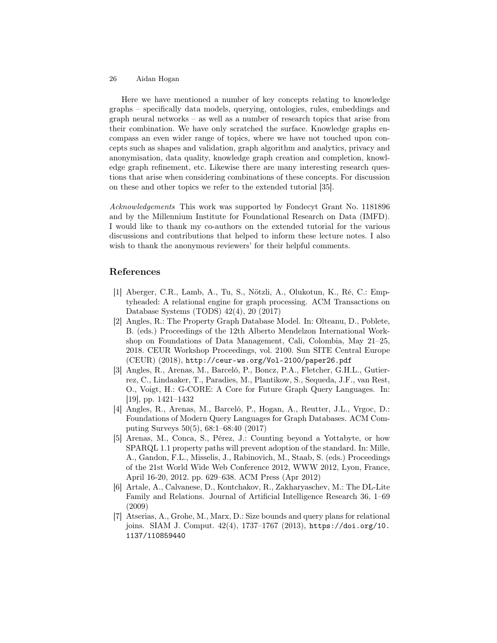Here we have mentioned a number of key concepts relating to knowledge graphs – specifically data models, querying, ontologies, rules, embeddings and graph neural networks – as well as a number of research topics that arise from their combination. We have only scratched the surface. Knowledge graphs encompass an even wider range of topics, where we have not touched upon concepts such as shapes and validation, graph algorithm and analytics, privacy and anonymisation, data quality, knowledge graph creation and completion, knowledge graph refinement, etc. Likewise there are many interesting research questions that arise when considering combinations of these concepts. For discussion on these and other topics we refer to the extended tutorial [\[35\]](#page-28-0).

Acknowledgements This work was supported by Fondecyt Grant No. 1181896 and by the Millennium Institute for Foundational Research on Data (IMFD). I would like to thank my co-authors on the extended tutorial for the various discussions and contributions that helped to inform these lecture notes. I also wish to thank the anonymous reviewers' for their helpful comments.

## References

- <span id="page-25-4"></span>[1] Aberger, C.R., Lamb, A., Tu, S., Nötzli, A., Olukotun, K., Ré, C.: Emptyheaded: A relational engine for graph processing. ACM Transactions on Database Systems (TODS) 42(4), 20 (2017)
- <span id="page-25-0"></span>[2] Angles, R.: The Property Graph Database Model. In: Olteanu, D., Poblete, B. (eds.) Proceedings of the 12th Alberto Mendelzon International Workshop on Foundations of Data Management, Cali, Colombia, May 21–25, 2018. CEUR Workshop Proceedings, vol. 2100. Sun SITE Central Europe (CEUR) (2018), <http://ceur-ws.org/Vol-2100/paper26.pdf>
- <span id="page-25-2"></span>[3] Angles, R., Arenas, M., Barceló, P., Boncz, P.A., Fletcher, G.H.L., Gutierrez, C., Lindaaker, T., Paradies, M., Plantikow, S., Sequeda, J.F., van Rest, O., Voigt, H.: G-CORE: A Core for Future Graph Query Languages. In: [\[19\]](#page-26-14), pp. 1421–1432
- <span id="page-25-1"></span>[4] Angles, R., Arenas, M., Barceló, P., Hogan, A., Reutter, J.L., Vrgoc, D.: Foundations of Modern Query Languages for Graph Databases. ACM Computing Surveys 50(5), 68:1–68:40 (2017)
- <span id="page-25-5"></span>[5] Arenas, M., Conca, S., Pérez, J.: Counting beyond a Yottabyte, or how SPARQL 1.1 property paths will prevent adoption of the standard. In: Mille, A., Gandon, F.L., Misselis, J., Rabinovich, M., Staab, S. (eds.) Proceedings of the 21st World Wide Web Conference 2012, WWW 2012, Lyon, France, April 16-20, 2012. pp. 629–638. ACM Press (Apr 2012)
- <span id="page-25-6"></span>[6] Artale, A., Calvanese, D., Kontchakov, R., Zakharyaschev, M.: The DL-Lite Family and Relations. Journal of Artificial Intelligence Research 36, 1–69 (2009)
- <span id="page-25-3"></span>[7] Atserias, A., Grohe, M., Marx, D.: Size bounds and query plans for relational joins. SIAM J. Comput. 42(4), 1737–1767 (2013), [https://doi.org/10.](https://doi.org/10.1137/110859440) [1137/110859440](https://doi.org/10.1137/110859440)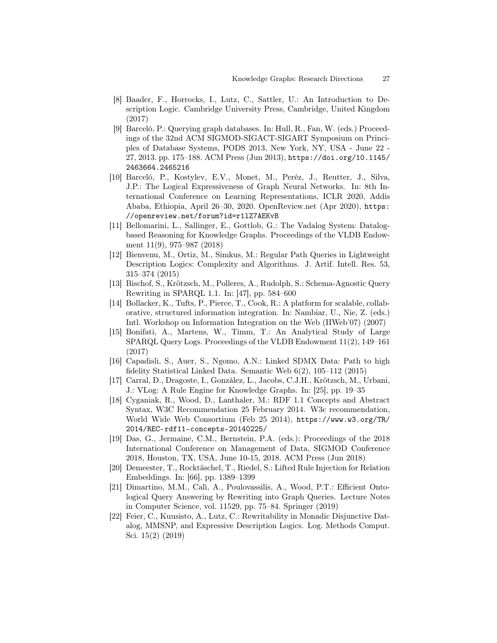- <span id="page-26-5"></span>[8] Baader, F., Horrocks, I., Lutz, C., Sattler, U.: An Introduction to Description Logic. Cambridge University Press, Cambridge, United Kingdom (2017)
- <span id="page-26-1"></span>[9] Barceló, P.: Querying graph databases. In: Hull, R., Fan, W. (eds.) Proceedings of the 32nd ACM SIGMOD-SIGACT-SIGART Symposium on Principles of Database Systems, PODS 2013, New York, NY, USA - June 22 - 27, 2013. pp. 175–188. ACM Press (Jun 2013), [https://doi.org/10.1145/](https://doi.org/10.1145/2463664.2465216) [2463664.2465216](https://doi.org/10.1145/2463664.2465216)
- <span id="page-26-13"></span>[10] Barceló, P., Kostylev, E.V., Monet, M., Peréz, J., Reutter, J., Silva, J.P.: The Logical Expressiveness of Graph Neural Networks. In: 8th International Conference on Learning Representations, ICLR 2020, Addis Ababa, Ethiopia, April 26–30, 2020. OpenReview.net (Apr 2020), [https:](https://openreview.net/forum?id=r1lZ7AEKvB) [//openreview.net/forum?id=r1lZ7AEKvB](https://openreview.net/forum?id=r1lZ7AEKvB)
- <span id="page-26-10"></span>[11] Bellomarini, L., Sallinger, E., Gottlob, G.: The Vadalog System: Datalogbased Reasoning for Knowledge Graphs. Proceedings of the VLDB Endowment 11(9), 975–987 (2018)
- <span id="page-26-6"></span>[12] Bienvenu, M., Ortiz, M., Simkus, M.: Regular Path Queries in Lightweight Description Logics: Complexity and Algorithms. J. Artif. Intell. Res. 53, 315–374 (2015)
- <span id="page-26-8"></span>[13] Bischof, S., Krötzsch, M., Polleres, A., Rudolph, S.: Schema-Agnostic Query Rewriting in SPARQL 1.1. In: [\[47\]](#page-29-10), pp. 584–600
- <span id="page-26-0"></span>[14] Bollacker, K., Tufts, P., Pierce, T., Cook, R.: A platform for scalable, collaborative, structured information integration. In: Nambiar, U., Nie, Z. (eds.) Intl. Workshop on Information Integration on the Web (IIWeb'07) (2007)
- <span id="page-26-4"></span>[15] Bonifati, A., Martens, W., Timm, T.: An Analytical Study of Large SPARQL Query Logs. Proceedings of the VLDB Endowment 11(2), 149–161 (2017)
- <span id="page-26-3"></span>[16] Capadisli, S., Auer, S., Ngomo, A.N.: Linked SDMX Data: Path to high fidelity Statistical Linked Data. Semantic Web 6(2), 105–112 (2015)
- <span id="page-26-11"></span>[17] Carral, D., Dragoste, I., González, L., Jacobs, C.J.H., Krötzsch, M., Urbani, J.: VLog: A Rule Engine for Knowledge Graphs. In: [\[25\]](#page-27-10), pp. 19–35
- <span id="page-26-2"></span>[18] Cyganiak, R., Wood, D., Lanthaler, M.: RDF 1.1 Concepts and Abstract Syntax, W3C Recommendation 25 February 2014. W3c recommendation, World Wide Web Consortium (Feb 25 2014), [https://www.w3.org/TR/](https://www.w3.org/TR/2014/REC-rdf11-concepts-20140225/) [2014/REC-rdf11-concepts-20140225/](https://www.w3.org/TR/2014/REC-rdf11-concepts-20140225/)
- <span id="page-26-14"></span>[19] Das, G., Jermaine, C.M., Bernstein, P.A. (eds.): Proceedings of the 2018 International Conference on Management of Data, SIGMOD Conference 2018, Houston, TX, USA, June 10-15, 2018. ACM Press (Jun 2018)
- <span id="page-26-12"></span>[20] Demeester, T., Rocktäschel, T., Riedel, S.: Lifted Rule Injection for Relation Embeddings. In: [\[66\]](#page-30-12), pp. 1389–1399
- <span id="page-26-9"></span>[21] Dimartino, M.M., Calì, A., Poulovassilis, A., Wood, P.T.: Efficient Ontological Query Answering by Rewriting into Graph Queries. Lecture Notes in Computer Science, vol. 11529, pp. 75–84. Springer (2019)
- <span id="page-26-7"></span>[22] Feier, C., Kuusisto, A., Lutz, C.: Rewritability in Monadic Disjunctive Datalog, MMSNP, and Expressive Description Logics. Log. Methods Comput. Sci. 15(2) (2019)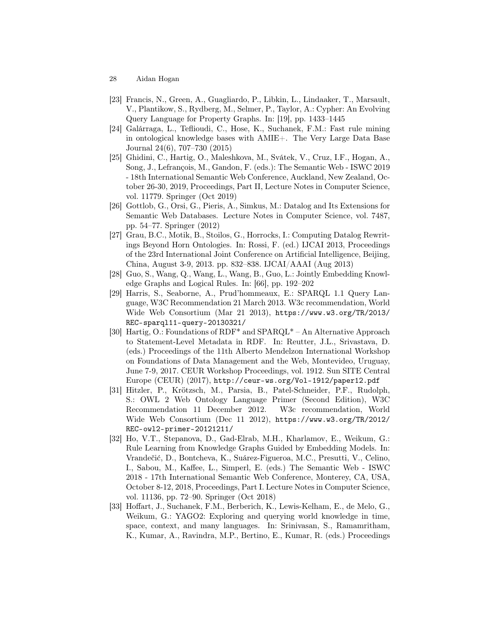- 28 Aidan Hogan
- <span id="page-27-2"></span>[23] Francis, N., Green, A., Guagliardo, P., Libkin, L., Lindaaker, T., Marsault, V., Plantikow, S., Rydberg, M., Selmer, P., Taylor, A.: Cypher: An Evolving Query Language for Property Graphs. In: [\[19\]](#page-26-14), pp. 1433–1445
- <span id="page-27-6"></span>[24] Galárraga, L., Teflioudi, C., Hose, K., Suchanek, F.M.: Fast rule mining in ontological knowledge bases with AMIE+. The Very Large Data Base Journal 24(6), 707–730 (2015)
- <span id="page-27-10"></span>[25] Ghidini, C., Hartig, O., Maleshkova, M., Svátek, V., Cruz, I.F., Hogan, A., Song, J., Lefrançois, M., Gandon, F. (eds.): The Semantic Web - ISWC 2019 - 18th International Semantic Web Conference, Auckland, New Zealand, October 26-30, 2019, Proceedings, Part II, Lecture Notes in Computer Science, vol. 11779. Springer (Oct 2019)
- <span id="page-27-4"></span>[26] Gottlob, G., Orsi, G., Pieris, A., Simkus, M.: Datalog and Its Extensions for Semantic Web Databases. Lecture Notes in Computer Science, vol. 7487, pp. 54–77. Springer (2012)
- <span id="page-27-5"></span>[27] Grau, B.C., Motik, B., Stoilos, G., Horrocks, I.: Computing Datalog Rewritings Beyond Horn Ontologies. In: Rossi, F. (ed.) IJCAI 2013, Proceedings of the 23rd International Joint Conference on Artificial Intelligence, Beijing, China, August 3-9, 2013. pp. 832–838. IJCAI/AAAI (Aug 2013)
- <span id="page-27-9"></span>[28] Guo, S., Wang, Q., Wang, L., Wang, B., Guo, L.: Jointly Embedding Knowledge Graphs and Logical Rules. In: [\[66\]](#page-30-12), pp. 192–202
- <span id="page-27-1"></span>[29] Harris, S., Seaborne, A., Prud'hommeaux, E.: SPARQL 1.1 Query Language, W3C Recommendation 21 March 2013. W3c recommendation, World Wide Web Consortium (Mar 21 2013), [https://www.w3.org/TR/2013/](https://www.w3.org/TR/2013/REC-sparql11-query-20130321/) [REC-sparql11-query-20130321/](https://www.w3.org/TR/2013/REC-sparql11-query-20130321/)
- <span id="page-27-8"></span>[30] Hartig, O.: Foundations of RDF\* and SPARQL\* – An Alternative Approach to Statement-Level Metadata in RDF. In: Reutter, J.L., Srivastava, D. (eds.) Proceedings of the 11th Alberto Mendelzon International Workshop on Foundations of Data Management and the Web, Montevideo, Uruguay, June 7-9, 2017. CEUR Workshop Proceedings, vol. 1912. Sun SITE Central Europe (CEUR) (2017), <http://ceur-ws.org/Vol-1912/paper12.pdf>
- <span id="page-27-3"></span>[31] Hitzler, P., Krötzsch, M., Parsia, B., Patel-Schneider, P.F., Rudolph, S.: OWL 2 Web Ontology Language Primer (Second Edition), W3C Recommendation 11 December 2012. W3c recommendation, World Wide Web Consortium (Dec 11 2012), [https://www.w3.org/TR/2012/](https://www.w3.org/TR/2012/REC-owl2-primer-20121211/) [REC-owl2-primer-20121211/](https://www.w3.org/TR/2012/REC-owl2-primer-20121211/)
- <span id="page-27-7"></span>[32] Ho, V.T., Stepanova, D., Gad-Elrab, M.H., Kharlamov, E., Weikum, G.: Rule Learning from Knowledge Graphs Guided by Embedding Models. In: Vrandečić, D., Bontcheva, K., Suárez-Figueroa, M.C., Presutti, V., Celino, I., Sabou, M., Kaffee, L., Simperl, E. (eds.) The Semantic Web - ISWC 2018 - 17th International Semantic Web Conference, Monterey, CA, USA, October 8-12, 2018, Proceedings, Part I. Lecture Notes in Computer Science, vol. 11136, pp. 72–90. Springer (Oct 2018)
- <span id="page-27-0"></span>[33] Hoffart, J., Suchanek, F.M., Berberich, K., Lewis-Kelham, E., de Melo, G., Weikum, G.: YAGO2: Exploring and querying world knowledge in time, space, context, and many languages. In: Srinivasan, S., Ramamritham, K., Kumar, A., Ravindra, M.P., Bertino, E., Kumar, R. (eds.) Proceedings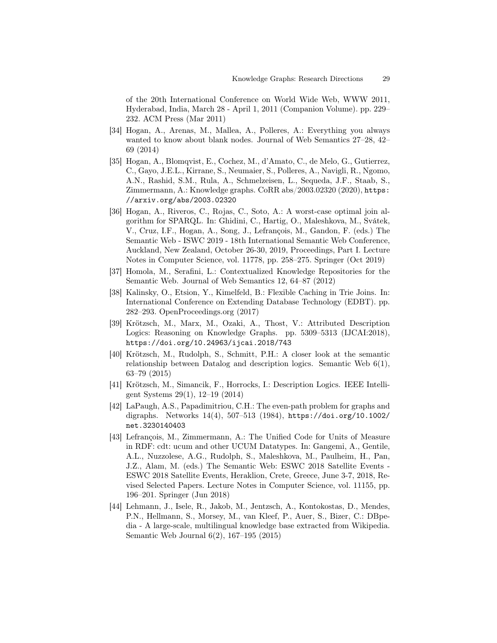of the 20th International Conference on World Wide Web, WWW 2011, Hyderabad, India, March 28 - April 1, 2011 (Companion Volume). pp. 229– 232. ACM Press (Mar 2011)

- <span id="page-28-2"></span>[34] Hogan, A., Arenas, M., Mallea, A., Polleres, A.: Everything you always wanted to know about blank nodes. Journal of Web Semantics 27–28, 42– 69 (2014)
- <span id="page-28-0"></span>[35] Hogan, A., Blomqvist, E., Cochez, M., d'Amato, C., de Melo, G., Gutierrez, C., Gayo, J.E.L., Kirrane, S., Neumaier, S., Polleres, A., Navigli, R., Ngomo, A.N., Rashid, S.M., Rula, A., Schmelzeisen, L., Sequeda, J.F., Staab, S., Zimmermann, A.: Knowledge graphs. CoRR abs/2003.02320 (2020), [https:](https://arxiv.org/abs/2003.02320) [//arxiv.org/abs/2003.02320](https://arxiv.org/abs/2003.02320)
- <span id="page-28-6"></span>[36] Hogan, A., Riveros, C., Rojas, C., Soto, A.: A worst-case optimal join algorithm for SPARQL. In: Ghidini, C., Hartig, O., Maleshkova, M., Svátek, V., Cruz, I.F., Hogan, A., Song, J., Lefrançois, M., Gandon, F. (eds.) The Semantic Web - ISWC 2019 - 18th International Semantic Web Conference, Auckland, New Zealand, October 26-30, 2019, Proceedings, Part I. Lecture Notes in Computer Science, vol. 11778, pp. 258–275. Springer (Oct 2019)
- <span id="page-28-10"></span>[37] Homola, M., Serafini, L.: Contextualized Knowledge Repositories for the Semantic Web. Journal of Web Semantics 12, 64–87 (2012)
- <span id="page-28-5"></span>[38] Kalinsky, O., Etsion, Y., Kimelfeld, B.: Flexible Caching in Trie Joins. In: International Conference on Extending Database Technology (EDBT). pp. 282–293. OpenProceedings.org (2017)
- <span id="page-28-4"></span>[39] Krötzsch, M., Marx, M., Ozaki, A., Thost, V.: Attributed Description Logics: Reasoning on Knowledge Graphs. pp. 5309–5313 (IJCAI:2018), <https://doi.org/10.24963/ijcai.2018/743>
- <span id="page-28-9"></span>[40] Krötzsch, M., Rudolph, S., Schmitt, P.H.: A closer look at the semantic relationship between Datalog and description logics. Semantic Web 6(1), 63–79 (2015)
- <span id="page-28-8"></span>[41] Krötzsch, M., Simancik, F., Horrocks, I.: Description Logics. IEEE Intelligent Systems 29(1), 12–19 (2014)
- <span id="page-28-7"></span>[42] LaPaugh, A.S., Papadimitriou, C.H.: The even-path problem for graphs and digraphs. Networks 14(4), 507–513 (1984), [https://doi.org/10.1002/](https://doi.org/10.1002/net.3230140403) [net.3230140403](https://doi.org/10.1002/net.3230140403)
- <span id="page-28-3"></span>[43] Lefrançois, M., Zimmermann, A.: The Unified Code for Units of Measure in RDF: cdt: ucum and other UCUM Datatypes. In: Gangemi, A., Gentile, A.L., Nuzzolese, A.G., Rudolph, S., Maleshkova, M., Paulheim, H., Pan, J.Z., Alam, M. (eds.) The Semantic Web: ESWC 2018 Satellite Events - ESWC 2018 Satellite Events, Heraklion, Crete, Greece, June 3-7, 2018, Revised Selected Papers. Lecture Notes in Computer Science, vol. 11155, pp. 196–201. Springer (Jun 2018)
- <span id="page-28-1"></span>[44] Lehmann, J., Isele, R., Jakob, M., Jentzsch, A., Kontokostas, D., Mendes, P.N., Hellmann, S., Morsey, M., van Kleef, P., Auer, S., Bizer, C.: DBpedia - A large-scale, multilingual knowledge base extracted from Wikipedia. Semantic Web Journal 6(2), 167–195 (2015)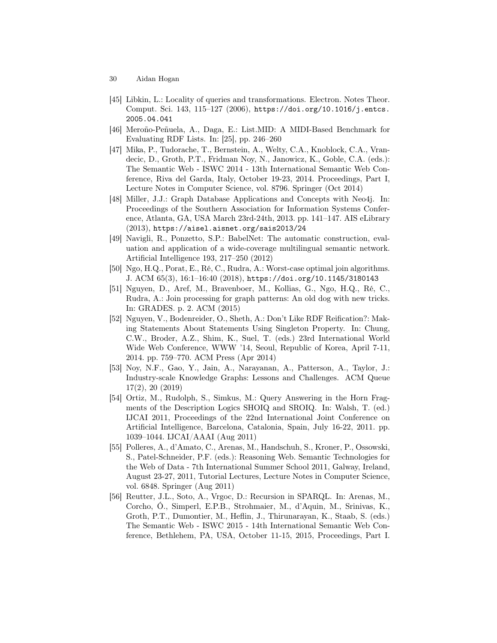- 30 Aidan Hogan
- <span id="page-29-4"></span>[45] Libkin, L.: Locality of queries and transformations. Electron. Notes Theor. Comput. Sci. 143, 115–127 (2006), [https://doi.org/10.1016/j.entcs.](https://doi.org/10.1016/j.entcs.2005.04.041) [2005.04.041](https://doi.org/10.1016/j.entcs.2005.04.041)
- <span id="page-29-3"></span>[46] Meroño-Peñuela, A., Daga, E.: List.MID: A MIDI-Based Benchmark for Evaluating RDF Lists. In: [\[25\]](#page-27-10), pp. 246–260
- <span id="page-29-10"></span>[47] Mika, P., Tudorache, T., Bernstein, A., Welty, C.A., Knoblock, C.A., Vrandecic, D., Groth, P.T., Fridman Noy, N., Janowicz, K., Goble, C.A. (eds.): The Semantic Web - ISWC 2014 - 13th International Semantic Web Conference, Riva del Garda, Italy, October 19-23, 2014. Proceedings, Part I, Lecture Notes in Computer Science, vol. 8796. Springer (Oct 2014)
- <span id="page-29-2"></span>[48] Miller, J.J.: Graph Database Applications and Concepts with Neo4j. In: Proceedings of the Southern Association for Information Systems Conference, Atlanta, GA, USA March 23rd-24th, 2013. pp. 141–147. AIS eLibrary (2013), <https://aisel.aisnet.org/sais2013/24>
- <span id="page-29-1"></span>[49] Navigli, R., Ponzetto, S.P.: BabelNet: The automatic construction, evaluation and application of a wide-coverage multilingual semantic network. Artificial Intelligence 193, 217–250 (2012)
- <span id="page-29-5"></span>[50] Ngo, H.Q., Porat, E., Ré, C., Rudra, A.: Worst-case optimal join algorithms. J. ACM 65(3), 16:1–16:40 (2018), <https://doi.org/10.1145/3180143>
- <span id="page-29-6"></span>[51] Nguyen, D., Aref, M., Bravenboer, M., Kollias, G., Ngo, H.Q., Ré, C., Rudra, A.: Join processing for graph patterns: An old dog with new tricks. In: GRADES. p. 2. ACM (2015)
- <span id="page-29-9"></span>[52] Nguyen, V., Bodenreider, O., Sheth, A.: Don't Like RDF Reification?: Making Statements About Statements Using Singleton Property. In: Chung, C.W., Broder, A.Z., Shim, K., Suel, T. (eds.) 23rd International World Wide Web Conference, WWW '14, Seoul, Republic of Korea, April 7-11, 2014. pp. 759–770. ACM Press (Apr 2014)
- <span id="page-29-0"></span>[53] Noy, N.F., Gao, Y., Jain, A., Narayanan, A., Patterson, A., Taylor, J.: Industry-scale Knowledge Graphs: Lessons and Challenges. ACM Queue 17(2), 20 (2019)
- <span id="page-29-8"></span>[54] Ortiz, M., Rudolph, S., Simkus, M.: Query Answering in the Horn Fragments of the Description Logics SHOIQ and SROIQ. In: Walsh, T. (ed.) IJCAI 2011, Proceedings of the 22nd International Joint Conference on Artificial Intelligence, Barcelona, Catalonia, Spain, July 16-22, 2011. pp. 1039–1044. IJCAI/AAAI (Aug 2011)
- <span id="page-29-11"></span>[55] Polleres, A., d'Amato, C., Arenas, M., Handschuh, S., Kroner, P., Ossowski, S., Patel-Schneider, P.F. (eds.): Reasoning Web. Semantic Technologies for the Web of Data - 7th International Summer School 2011, Galway, Ireland, August 23-27, 2011, Tutorial Lectures, Lecture Notes in Computer Science, vol. 6848. Springer (Aug 2011)
- <span id="page-29-7"></span>[56] Reutter, J.L., Soto, A., Vrgoc, D.: Recursion in SPARQL. In: Arenas, M., Corcho, Ó., Simperl, E.P.B., Strohmaier, M., d'Aquin, M., Srinivas, K., Groth, P.T., Dumontier, M., Heflin, J., Thirunarayan, K., Staab, S. (eds.) The Semantic Web - ISWC 2015 - 14th International Semantic Web Conference, Bethlehem, PA, USA, October 11-15, 2015, Proceedings, Part I.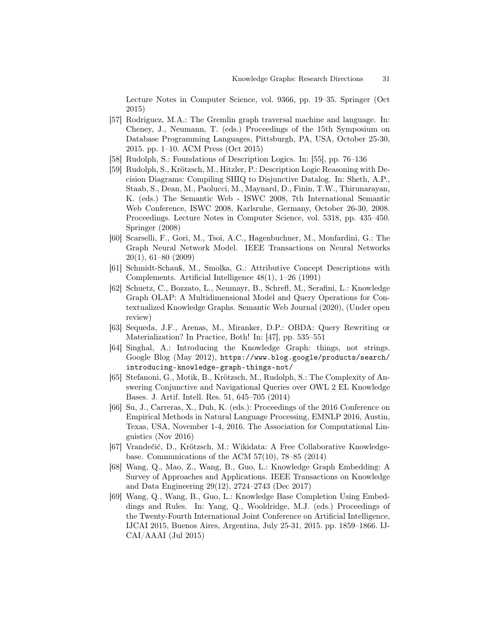Lecture Notes in Computer Science, vol. 9366, pp. 19–35. Springer (Oct 2015)

- <span id="page-30-3"></span>[57] Rodriguez, M.A.: The Gremlin graph traversal machine and language. In: Cheney, J., Neumann, T. (eds.) Proceedings of the 15th Symposium on Database Programming Languages, Pittsburgh, PA, USA, October 25-30, 2015. pp. 1–10. ACM Press (Oct 2015)
- <span id="page-30-4"></span>[58] Rudolph, S.: Foundations of Description Logics. In: [\[55\]](#page-29-11), pp. 76–136
- <span id="page-30-8"></span>[59] Rudolph, S., Krötzsch, M., Hitzler, P.: Description Logic Reasoning with Decision Diagrams: Compiling SHIQ to Disjunctive Datalog. In: Sheth, A.P., Staab, S., Dean, M., Paolucci, M., Maynard, D., Finin, T.W., Thirunarayan, K. (eds.) The Semantic Web - ISWC 2008, 7th International Semantic Web Conference, ISWC 2008, Karlsruhe, Germany, October 26-30, 2008. Proceedings. Lecture Notes in Computer Science, vol. 5318, pp. 435–450. Springer (2008)
- <span id="page-30-11"></span>[60] Scarselli, F., Gori, M., Tsoi, A.C., Hagenbuchner, M., Monfardini, G.: The Graph Neural Network Model. IEEE Transactions on Neural Networks 20(1), 61–80 (2009)
- <span id="page-30-5"></span>[61] Schmidt-Schauß, M., Smolka, G.: Attributive Concept Descriptions with Complements. Artificial Intelligence 48(1), 1–26 (1991)
- <span id="page-30-9"></span>[62] Schuetz, C., Bozzato, L., Neumayr, B., Schrefl, M., Serafini, L.: Knowledge Graph OLAP: A Multidimensional Model and Query Operations for Contextualized Knowledge Graphs. Semantic Web Journal (2020), (Under open review)
- <span id="page-30-7"></span>[63] Sequeda, J.F., Arenas, M., Miranker, D.P.: OBDA: Query Rewriting or Materialization? In Practice, Both! In: [\[47\]](#page-29-10), pp. 535–551
- <span id="page-30-0"></span>[64] Singhal, A.: Introducing the Knowledge Graph: things, not strings. Google Blog (May 2012), [https://www.blog.google/products/search/](https://www.blog.google/products/search/introducing-knowledge-graph-things-not/) [introducing-knowledge-graph-things-not/](https://www.blog.google/products/search/introducing-knowledge-graph-things-not/)
- <span id="page-30-6"></span>[65] Stefanoni, G., Motik, B., Krötzsch, M., Rudolph, S.: The Complexity of Answering Conjunctive and Navigational Queries over OWL 2 EL Knowledge Bases. J. Artif. Intell. Res. 51, 645–705 (2014)
- <span id="page-30-12"></span>[66] Su, J., Carreras, X., Duh, K. (eds.): Proceedings of the 2016 Conference on Empirical Methods in Natural Language Processing, EMNLP 2016, Austin, Texas, USA, November 1-4, 2016. The Association for Computational Linguistics (Nov 2016)
- <span id="page-30-1"></span>[67] Vrandečić, D., Krötzsch, M.: Wikidata: A Free Collaborative Knowledgebase. Communications of the ACM 57(10), 78–85 (2014)
- <span id="page-30-2"></span>[68] Wang, Q., Mao, Z., Wang, B., Guo, L.: Knowledge Graph Embedding: A Survey of Approaches and Applications. IEEE Transactions on Knowledge and Data Engineering 29(12), 2724–2743 (Dec 2017)
- <span id="page-30-10"></span>[69] Wang, Q., Wang, B., Guo, L.: Knowledge Base Completion Using Embeddings and Rules. In: Yang, Q., Wooldridge, M.J. (eds.) Proceedings of the Twenty-Fourth International Joint Conference on Artificial Intelligence, IJCAI 2015, Buenos Aires, Argentina, July 25-31, 2015. pp. 1859–1866. IJ-CAI/AAAI (Jul 2015)